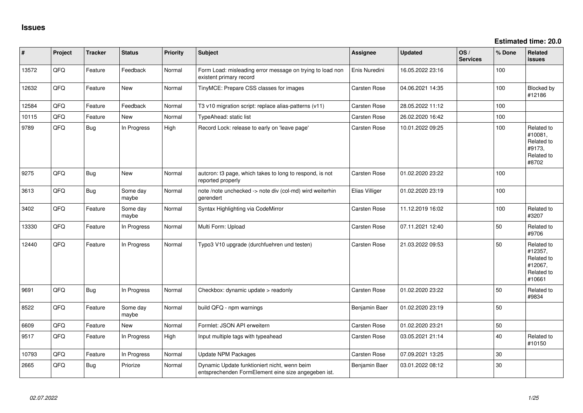| #     | Project | <b>Tracker</b> | <b>Status</b>     | <b>Priority</b> | Subject                                                                                             | <b>Assignee</b>     | <b>Updated</b>   | OS/<br><b>Services</b> | % Done | Related<br><b>issues</b>                                               |
|-------|---------|----------------|-------------------|-----------------|-----------------------------------------------------------------------------------------------------|---------------------|------------------|------------------------|--------|------------------------------------------------------------------------|
| 13572 | QFQ     | Feature        | Feedback          | Normal          | Form Load: misleading error message on trying to load non<br>existent primary record                | Enis Nuredini       | 16.05.2022 23:16 |                        | 100    |                                                                        |
| 12632 | QFQ     | Feature        | <b>New</b>        | Normal          | TinyMCE: Prepare CSS classes for images                                                             | Carsten Rose        | 04.06.2021 14:35 |                        | 100    | Blocked by<br>#12186                                                   |
| 12584 | QFQ     | Feature        | Feedback          | Normal          | T3 v10 migration script: replace alias-patterns (v11)                                               | Carsten Rose        | 28.05.2022 11:12 |                        | 100    |                                                                        |
| 10115 | QFQ     | Feature        | New               | Normal          | TypeAhead: static list                                                                              | Carsten Rose        | 26.02.2020 16:42 |                        | 100    |                                                                        |
| 9789  | QFQ     | <b>Bug</b>     | In Progress       | High            | Record Lock: release to early on 'leave page'                                                       | Carsten Rose        | 10.01.2022 09:25 |                        | 100    | Related to<br>#10081,<br>Related to<br>#9173,<br>Related to<br>#8702   |
| 9275  | QFQ     | <b>Bug</b>     | New               | Normal          | autcron: t3 page, which takes to long to respond, is not<br>reported properly                       | <b>Carsten Rose</b> | 01.02.2020 23:22 |                        | 100    |                                                                        |
| 3613  | QFQ     | <b>Bug</b>     | Some day<br>maybe | Normal          | note /note unchecked -> note div (col-md) wird weiterhin<br>gerendert                               | Elias Villiger      | 01.02.2020 23:19 |                        | 100    |                                                                        |
| 3402  | QFQ     | Feature        | Some day<br>maybe | Normal          | Syntax Highlighting via CodeMirror                                                                  | <b>Carsten Rose</b> | 11.12.2019 16:02 |                        | 100    | Related to<br>#3207                                                    |
| 13330 | QFQ     | Feature        | In Progress       | Normal          | Multi Form: Upload                                                                                  | <b>Carsten Rose</b> | 07.11.2021 12:40 |                        | 50     | Related to<br>#9706                                                    |
| 12440 | QFQ     | Feature        | In Progress       | Normal          | Typo3 V10 upgrade (durchfuehren und testen)                                                         | Carsten Rose        | 21.03.2022 09:53 |                        | 50     | Related to<br>#12357,<br>Related to<br>#12067,<br>Related to<br>#10661 |
| 9691  | QFQ     | <b>Bug</b>     | In Progress       | Normal          | Checkbox: dynamic update > readonly                                                                 | Carsten Rose        | 01.02.2020 23:22 |                        | 50     | Related to<br>#9834                                                    |
| 8522  | QFQ     | Feature        | Some day<br>maybe | Normal          | build QFQ - npm warnings                                                                            | Benjamin Baer       | 01.02.2020 23:19 |                        | 50     |                                                                        |
| 6609  | QFQ     | Feature        | New               | Normal          | Formlet: JSON API erweitern                                                                         | Carsten Rose        | 01.02.2020 23:21 |                        | 50     |                                                                        |
| 9517  | QFQ     | Feature        | In Progress       | High            | Input multiple tags with typeahead                                                                  | <b>Carsten Rose</b> | 03.05.2021 21:14 |                        | 40     | Related to<br>#10150                                                   |
| 10793 | QFQ     | Feature        | In Progress       | Normal          | <b>Update NPM Packages</b>                                                                          | <b>Carsten Rose</b> | 07.09.2021 13:25 |                        | 30     |                                                                        |
| 2665  | QFQ     | <b>Bug</b>     | Priorize          | Normal          | Dynamic Update funktioniert nicht, wenn beim<br>entsprechenden FormElement eine size angegeben ist. | Benjamin Baer       | 03.01.2022 08:12 |                        | 30     |                                                                        |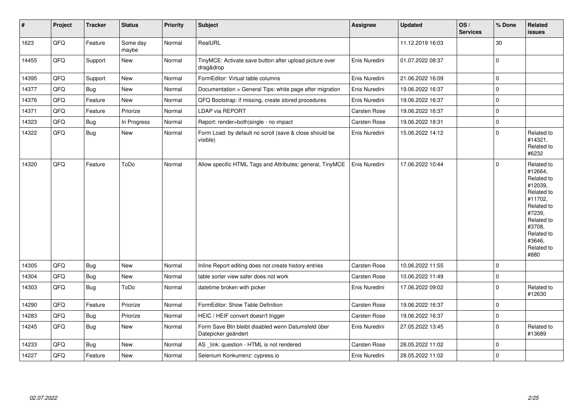| #     | Project | <b>Tracker</b> | <b>Status</b>     | <b>Priority</b> | <b>Subject</b>                                                            | Assignee            | <b>Updated</b>   | OS/<br><b>Services</b> | % Done      | Related<br><b>issues</b>                                                                                                                                              |
|-------|---------|----------------|-------------------|-----------------|---------------------------------------------------------------------------|---------------------|------------------|------------------------|-------------|-----------------------------------------------------------------------------------------------------------------------------------------------------------------------|
| 1623  | QFQ     | Feature        | Some day<br>maybe | Normal          | RealURL                                                                   |                     | 11.12.2019 16:03 |                        | 30          |                                                                                                                                                                       |
| 14455 | QFQ     | Support        | New               | Normal          | TinyMCE: Activate save button after upload picture over<br>drag&drop      | Enis Nuredini       | 01.07.2022 08:37 |                        | $\mathbf 0$ |                                                                                                                                                                       |
| 14395 | QFQ     | Support        | <b>New</b>        | Normal          | FormEditor: Virtual table columns                                         | Enis Nuredini       | 21.06.2022 16:09 |                        | $\mathbf 0$ |                                                                                                                                                                       |
| 14377 | QFQ     | Bug            | <b>New</b>        | Normal          | Documentation > General Tips: white page after migration                  | Enis Nuredini       | 19.06.2022 16:37 |                        | $\mathbf 0$ |                                                                                                                                                                       |
| 14376 | QFQ     | Feature        | <b>New</b>        | Normal          | QFQ Bootstrap: if missing, create stored procedures                       | Enis Nuredini       | 19.06.2022 16:37 |                        | $\pmb{0}$   |                                                                                                                                                                       |
| 14371 | QFQ     | Feature        | Priorize          | Normal          | LDAP via REPORT                                                           | Carsten Rose        | 19.06.2022 16:37 |                        | $\mathbf 0$ |                                                                                                                                                                       |
| 14323 | QFQ     | <b>Bug</b>     | In Progress       | Normal          | Report: render=both single - no impact                                    | <b>Carsten Rose</b> | 19.06.2022 18:31 |                        | $\mathbf 0$ |                                                                                                                                                                       |
| 14322 | QFQ     | <b>Bug</b>     | <b>New</b>        | Normal          | Form Load: by default no scroll (save & close should be<br>visible)       | Enis Nuredini       | 15.06.2022 14:12 |                        | $\mathbf 0$ | Related to<br>#14321,<br>Related to<br>#6232                                                                                                                          |
| 14320 | QFQ     | Feature        | ToDo              | Normal          | Allow specific HTML Tags and Attributes: general, TinyMCE                 | Enis Nuredini       | 17.06.2022 10:44 |                        | $\mathbf 0$ | Related to<br>#12664,<br>Related to<br>#12039,<br>Related to<br>#11702,<br>Related to<br>#7239,<br>Related to<br>#3708,<br>Related to<br>#3646,<br>Related to<br>#880 |
| 14305 | QFQ     | <b>Bug</b>     | <b>New</b>        | Normal          | Inline Report editing does not create history entries                     | Carsten Rose        | 10.06.2022 11:55 |                        | $\mathbf 0$ |                                                                                                                                                                       |
| 14304 | QFQ     | <b>Bug</b>     | <b>New</b>        | Normal          | table sorter view safer does not work                                     | <b>Carsten Rose</b> | 10.06.2022 11:49 |                        | $\mathbf 0$ |                                                                                                                                                                       |
| 14303 | QFQ     | <b>Bug</b>     | ToDo              | Normal          | datetime broken with picker                                               | Enis Nuredini       | 17.06.2022 09:02 |                        | $\mathbf 0$ | Related to<br>#12630                                                                                                                                                  |
| 14290 | QFQ     | Feature        | Priorize          | Normal          | FormEditor: Show Table Definition                                         | <b>Carsten Rose</b> | 19.06.2022 16:37 |                        | $\mathbf 0$ |                                                                                                                                                                       |
| 14283 | QFQ     | Bug            | Priorize          | Normal          | HEIC / HEIF convert doesn't trigger                                       | Carsten Rose        | 19.06.2022 16:37 |                        | $\mathbf 0$ |                                                                                                                                                                       |
| 14245 | QFQ     | Bug            | <b>New</b>        | Normal          | Form Save Btn bleibt disabled wenn Datumsfeld über<br>Datepicker geändert | Enis Nuredini       | 27.05.2022 13:45 |                        | $\mathbf 0$ | Related to<br>#13689                                                                                                                                                  |
| 14233 | QFQ     | Bug            | <b>New</b>        | Normal          | AS _link: question - HTML is not rendered                                 | Carsten Rose        | 28.05.2022 11:02 |                        | $\mathbf 0$ |                                                                                                                                                                       |
| 14227 | QFQ     | Feature        | New               | Normal          | Selenium Konkurrenz: cypress.io                                           | Enis Nuredini       | 28.05.2022 11:02 |                        | $\mathbf 0$ |                                                                                                                                                                       |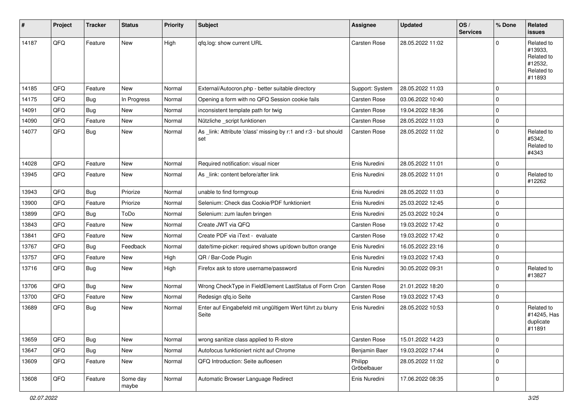| $\vert$ # | Project | <b>Tracker</b> | <b>Status</b>     | <b>Priority</b> | <b>Subject</b>                                                         | <b>Assignee</b>        | <b>Updated</b>   | OS/<br><b>Services</b> | % Done      | Related<br>issues                                                      |
|-----------|---------|----------------|-------------------|-----------------|------------------------------------------------------------------------|------------------------|------------------|------------------------|-------------|------------------------------------------------------------------------|
| 14187     | QFQ     | Feature        | New               | High            | qfq.log: show current URL                                              | Carsten Rose           | 28.05.2022 11:02 |                        | $\Omega$    | Related to<br>#13933,<br>Related to<br>#12532,<br>Related to<br>#11893 |
| 14185     | QFQ     | Feature        | <b>New</b>        | Normal          | External/Autocron.php - better suitable directory                      | Support: System        | 28.05.2022 11:03 |                        | $\Omega$    |                                                                        |
| 14175     | QFQ     | Bug            | In Progress       | Normal          | Opening a form with no QFQ Session cookie fails                        | Carsten Rose           | 03.06.2022 10:40 |                        | $\Omega$    |                                                                        |
| 14091     | QFQ     | <b>Bug</b>     | New               | Normal          | inconsistent template path for twig                                    | Carsten Rose           | 19.04.2022 18:36 |                        | $\mathbf 0$ |                                                                        |
| 14090     | QFQ     | Feature        | New               | Normal          | Nützliche _script funktionen                                           | <b>Carsten Rose</b>    | 28.05.2022 11:03 |                        | $\mathbf 0$ |                                                                        |
| 14077     | QFQ     | Bug            | <b>New</b>        | Normal          | As _link: Attribute 'class' missing by r:1 and r:3 - but should<br>set | Carsten Rose           | 28.05.2022 11:02 |                        | $\Omega$    | Related to<br>#5342,<br>Related to<br>#4343                            |
| 14028     | QFQ     | Feature        | <b>New</b>        | Normal          | Required notification: visual nicer                                    | Enis Nuredini          | 28.05.2022 11:01 |                        | $\mathbf 0$ |                                                                        |
| 13945     | QFQ     | Feature        | New               | Normal          | As _link: content before/after link                                    | Enis Nuredini          | 28.05.2022 11:01 |                        | $\mathbf 0$ | Related to<br>#12262                                                   |
| 13943     | QFQ     | Bug            | Priorize          | Normal          | unable to find formgroup                                               | Enis Nuredini          | 28.05.2022 11:03 |                        | $\mathbf 0$ |                                                                        |
| 13900     | QFQ     | Feature        | Priorize          | Normal          | Selenium: Check das Cookie/PDF funktioniert                            | Enis Nuredini          | 25.03.2022 12:45 |                        | $\mathbf 0$ |                                                                        |
| 13899     | QFQ     | <b>Bug</b>     | ToDo              | Normal          | Selenium: zum laufen bringen                                           | Enis Nuredini          | 25.03.2022 10:24 |                        | $\mathbf 0$ |                                                                        |
| 13843     | QFQ     | Feature        | New               | Normal          | Create JWT via QFQ                                                     | Carsten Rose           | 19.03.2022 17:42 |                        | 0           |                                                                        |
| 13841     | QFQ     | Feature        | <b>New</b>        | Normal          | Create PDF via iText - evaluate                                        | Carsten Rose           | 19.03.2022 17:42 |                        | $\Omega$    |                                                                        |
| 13767     | QFQ     | Bug            | Feedback          | Normal          | date/time-picker: required shows up/down button orange                 | Enis Nuredini          | 16.05.2022 23:16 |                        | $\Omega$    |                                                                        |
| 13757     | QFQ     | Feature        | New               | High            | QR / Bar-Code Plugin                                                   | Enis Nuredini          | 19.03.2022 17:43 |                        | 0           |                                                                        |
| 13716     | QFQ     | <b>Bug</b>     | New               | High            | Firefox ask to store username/password                                 | Enis Nuredini          | 30.05.2022 09:31 |                        | $\mathbf 0$ | Related to<br>#13827                                                   |
| 13706     | QFQ     | Bug            | <b>New</b>        | Normal          | Wrong CheckType in FieldElement LastStatus of Form Cron                | Carsten Rose           | 21.01.2022 18:20 |                        | $\Omega$    |                                                                        |
| 13700     | QFQ     | Feature        | <b>New</b>        | Normal          | Redesign qfq.io Seite                                                  | Carsten Rose           | 19.03.2022 17:43 |                        | $\mathbf 0$ |                                                                        |
| 13689     | QFQ     | <b>Bug</b>     | <b>New</b>        | Normal          | Enter auf Eingabefeld mit ungültigem Wert führt zu blurry<br>Seite     | Enis Nuredini          | 28.05.2022 10:53 |                        | $\mathbf 0$ | Related to<br>#14245, Has<br>duplicate<br>#11891                       |
| 13659     | QFQ     | <b>Bug</b>     | New               | Normal          | wrong sanitize class applied to R-store                                | Carsten Rose           | 15.01.2022 14:23 |                        | 0           |                                                                        |
| 13647     | QFQ     | <b>Bug</b>     | New               | Normal          | Autofocus funktioniert nicht auf Chrome                                | Benjamin Baer          | 19.03.2022 17:44 |                        | 0           |                                                                        |
| 13609     | QFQ     | Feature        | New               | Normal          | QFQ Introduction: Seite aufloesen                                      | Philipp<br>Gröbelbauer | 28.05.2022 11:02 |                        | 0           |                                                                        |
| 13608     | QFQ     | Feature        | Some day<br>maybe | Normal          | Automatic Browser Language Redirect                                    | Enis Nuredini          | 17.06.2022 08:35 |                        | 0           |                                                                        |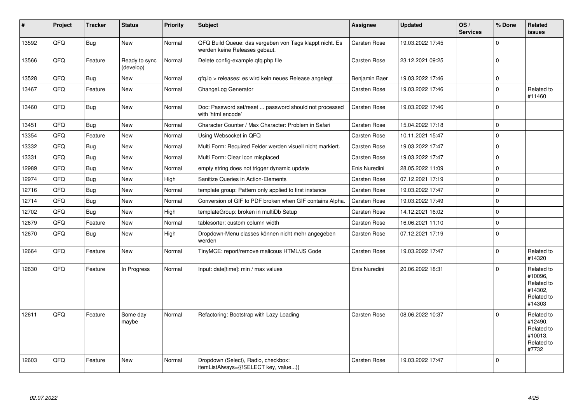| $\vert$ # | Project | <b>Tracker</b> | <b>Status</b>              | <b>Priority</b> | <b>Subject</b>                                                                           | Assignee            | <b>Updated</b>   | OS/<br><b>Services</b> | % Done   | Related<br>issues                                                      |
|-----------|---------|----------------|----------------------------|-----------------|------------------------------------------------------------------------------------------|---------------------|------------------|------------------------|----------|------------------------------------------------------------------------|
| 13592     | QFQ     | Bug            | <b>New</b>                 | Normal          | QFQ Build Queue: das vergeben von Tags klappt nicht. Es<br>werden keine Releases gebaut. | Carsten Rose        | 19.03.2022 17:45 |                        | $\Omega$ |                                                                        |
| 13566     | QFQ     | Feature        | Ready to sync<br>(develop) | Normal          | Delete config-example.gfg.php file                                                       | <b>Carsten Rose</b> | 23.12.2021 09:25 |                        | $\Omega$ |                                                                        |
| 13528     | QFQ     | Bug            | <b>New</b>                 | Normal          | gfg.io > releases: es wird kein neues Release angelegt                                   | Benjamin Baer       | 19.03.2022 17:46 |                        | 0        |                                                                        |
| 13467     | QFQ     | Feature        | <b>New</b>                 | Normal          | ChangeLog Generator                                                                      | <b>Carsten Rose</b> | 19.03.2022 17:46 |                        | $\Omega$ | Related to<br>#11460                                                   |
| 13460     | QFQ     | Bug            | <b>New</b>                 | Normal          | Doc: Password set/reset  password should not processed<br>with 'html encode'             | Carsten Rose        | 19.03.2022 17:46 |                        | 0        |                                                                        |
| 13451     | QFQ     | Bug            | <b>New</b>                 | Normal          | Character Counter / Max Character: Problem in Safari                                     | Carsten Rose        | 15.04.2022 17:18 |                        | 0        |                                                                        |
| 13354     | QFQ     | Feature        | <b>New</b>                 | Normal          | Using Websocket in QFQ                                                                   | <b>Carsten Rose</b> | 10.11.2021 15:47 |                        | $\Omega$ |                                                                        |
| 13332     | QFQ     | <b>Bug</b>     | <b>New</b>                 | Normal          | Multi Form: Required Felder werden visuell nicht markiert.                               | Carsten Rose        | 19.03.2022 17:47 |                        | $\Omega$ |                                                                        |
| 13331     | QFQ     | Bug            | <b>New</b>                 | Normal          | Multi Form: Clear Icon misplaced                                                         | <b>Carsten Rose</b> | 19.03.2022 17:47 |                        | $\Omega$ |                                                                        |
| 12989     | QFQ     | Bug            | <b>New</b>                 | Normal          | empty string does not trigger dynamic update                                             | Enis Nuredini       | 28.05.2022 11:09 |                        | 0        |                                                                        |
| 12974     | QFQ     | Bug            | <b>New</b>                 | High            | Sanitize Queries in Action-Elements                                                      | <b>Carsten Rose</b> | 07.12.2021 17:19 |                        | $\Omega$ |                                                                        |
| 12716     | QFQ     | Bug            | New                        | Normal          | template group: Pattern only applied to first instance                                   | Carsten Rose        | 19.03.2022 17:47 |                        | $\Omega$ |                                                                        |
| 12714     | QFQ     | Bug            | <b>New</b>                 | Normal          | Conversion of GIF to PDF broken when GIF contains Alpha.                                 | <b>Carsten Rose</b> | 19.03.2022 17:49 |                        | 0        |                                                                        |
| 12702     | QFQ     | <b>Bug</b>     | <b>New</b>                 | High            | templateGroup: broken in multiDb Setup                                                   | <b>Carsten Rose</b> | 14.12.2021 16:02 |                        | $\Omega$ |                                                                        |
| 12679     | QFQ     | Feature        | <b>New</b>                 | Normal          | tablesorter: custom column width                                                         | <b>Carsten Rose</b> | 16.06.2021 11:10 |                        | 0        |                                                                        |
| 12670     | QFQ     | Bug            | <b>New</b>                 | High            | Dropdown-Menu classes können nicht mehr angegeben<br>werden                              | <b>Carsten Rose</b> | 07.12.2021 17:19 |                        | $\Omega$ |                                                                        |
| 12664     | QFQ     | Feature        | <b>New</b>                 | Normal          | TinyMCE: report/remove malicous HTML/JS Code                                             | Carsten Rose        | 19.03.2022 17:47 |                        | $\Omega$ | Related to<br>#14320                                                   |
| 12630     | QFQ     | Feature        | In Progress                | Normal          | Input: date[time]: min / max values                                                      | Enis Nuredini       | 20.06.2022 18:31 |                        | $\Omega$ | Related to<br>#10096.<br>Related to<br>#14302.<br>Related to<br>#14303 |
| 12611     | QFQ     | Feature        | Some day<br>maybe          | Normal          | Refactoring: Bootstrap with Lazy Loading                                                 | <b>Carsten Rose</b> | 08.06.2022 10:37 |                        | $\Omega$ | Related to<br>#12490,<br>Related to<br>#10013,<br>Related to<br>#7732  |
| 12603     | QFQ     | Feature        | New                        | Normal          | Dropdown (Select), Radio, checkbox:<br>itemListAlways={{!SELECT key, value}}             | <b>Carsten Rose</b> | 19.03.2022 17:47 |                        | $\Omega$ |                                                                        |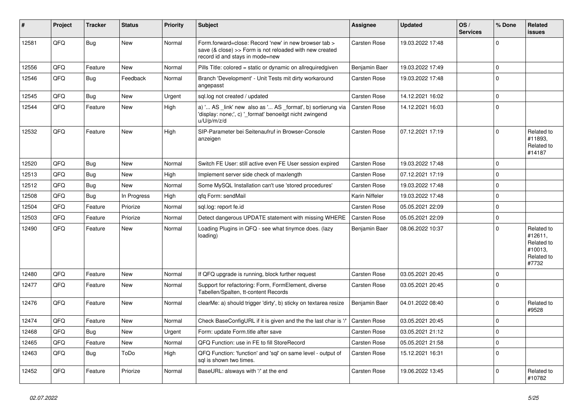| #     | Project | <b>Tracker</b> | <b>Status</b> | <b>Priority</b> | <b>Subject</b>                                                                                                                                      | <b>Assignee</b>     | <b>Updated</b>   | OS/<br><b>Services</b> | % Done      | Related<br>issues                                                     |
|-------|---------|----------------|---------------|-----------------|-----------------------------------------------------------------------------------------------------------------------------------------------------|---------------------|------------------|------------------------|-------------|-----------------------------------------------------------------------|
| 12581 | QFQ     | Bug            | <b>New</b>    | Normal          | Form.forward=close: Record 'new' in new browser tab ><br>save (& close) >> Form is not reloaded with new created<br>record id and stays in mode=new | <b>Carsten Rose</b> | 19.03.2022 17:48 |                        | $\Omega$    |                                                                       |
| 12556 | QFQ     | Feature        | <b>New</b>    | Normal          | Pills Title: colored = static or dynamic on allrequiredgiven                                                                                        | Benjamin Baer       | 19.03.2022 17:49 |                        | $\mathbf 0$ |                                                                       |
| 12546 | QFQ     | Bug            | Feedback      | Normal          | Branch 'Development' - Unit Tests mit dirty workaround<br>angepasst                                                                                 | <b>Carsten Rose</b> | 19.03.2022 17:48 |                        | $\Omega$    |                                                                       |
| 12545 | QFQ     | Bug            | <b>New</b>    | Urgent          | sql.log not created / updated                                                                                                                       | Carsten Rose        | 14.12.2021 16:02 |                        | $\mathbf 0$ |                                                                       |
| 12544 | QFQ     | Feature        | <b>New</b>    | High            | a) ' AS _link' new also as ' AS _format', b) sortierung via<br>'display: none;', c) '_format' benoeitgt nicht zwingend<br>u/U/p/m/z/d               | Carsten Rose        | 14.12.2021 16:03 |                        | $\Omega$    |                                                                       |
| 12532 | QFQ     | Feature        | <b>New</b>    | High            | SIP-Parameter bei Seitenaufruf in Browser-Console<br>anzeigen                                                                                       | Carsten Rose        | 07.12.2021 17:19 |                        | $\Omega$    | Related to<br>#11893.<br>Related to<br>#14187                         |
| 12520 | QFQ     | Bug            | New           | Normal          | Switch FE User: still active even FE User session expired                                                                                           | <b>Carsten Rose</b> | 19.03.2022 17:48 |                        | $\mathbf 0$ |                                                                       |
| 12513 | QFQ     | Bug            | <b>New</b>    | High            | Implement server side check of maxlength                                                                                                            | Carsten Rose        | 07.12.2021 17:19 |                        | $\Omega$    |                                                                       |
| 12512 | QFQ     | <b>Bug</b>     | New           | Normal          | Some MySQL Installation can't use 'stored procedures'                                                                                               | Carsten Rose        | 19.03.2022 17:48 |                        | $\Omega$    |                                                                       |
| 12508 | QFQ     | <b>Bug</b>     | In Progress   | High            | qfq Form: sendMail                                                                                                                                  | Karin Niffeler      | 19.03.2022 17:48 |                        | $\mathbf 0$ |                                                                       |
| 12504 | QFQ     | Feature        | Priorize      | Normal          | sql.log: report fe.id                                                                                                                               | <b>Carsten Rose</b> | 05.05.2021 22:09 |                        | $\mathbf 0$ |                                                                       |
| 12503 | QFQ     | Feature        | Priorize      | Normal          | Detect dangerous UPDATE statement with missing WHERE                                                                                                | <b>Carsten Rose</b> | 05.05.2021 22:09 |                        | $\mathbf 0$ |                                                                       |
| 12490 | QFQ     | Feature        | New           | Normal          | Loading Plugins in QFQ - see what tinymce does. (lazy<br>loading)                                                                                   | Benjamin Baer       | 08.06.2022 10:37 |                        | $\Omega$    | Related to<br>#12611,<br>Related to<br>#10013,<br>Related to<br>#7732 |
| 12480 | QFQ     | Feature        | <b>New</b>    | Normal          | If QFQ upgrade is running, block further request                                                                                                    | <b>Carsten Rose</b> | 03.05.2021 20:45 |                        | $\mathbf 0$ |                                                                       |
| 12477 | QFQ     | Feature        | New           | Normal          | Support for refactoring: Form, FormElement, diverse<br>Tabellen/Spalten, tt-content Records                                                         | Carsten Rose        | 03.05.2021 20:45 |                        | $\Omega$    |                                                                       |
| 12476 | QFQ     | Feature        | <b>New</b>    | Normal          | clearMe: a) should trigger 'dirty', b) sticky on textarea resize                                                                                    | Benjamin Baer       | 04.01.2022 08:40 |                        | $\Omega$    | Related to<br>#9528                                                   |
| 12474 | QFQ     | Feature        | <b>New</b>    | Normal          | Check BaseConfigURL if it is given and the the last char is '/'                                                                                     | <b>Carsten Rose</b> | 03.05.2021 20:45 |                        | $\Omega$    |                                                                       |
| 12468 | QFQ     | Bug            | New           | Urgent          | Form: update Form.title after save                                                                                                                  | <b>Carsten Rose</b> | 03.05.2021 21:12 |                        | $\mathbf 0$ |                                                                       |
| 12465 | QFQ     | Feature        | <b>New</b>    | Normal          | QFQ Function: use in FE to fill StoreRecord                                                                                                         | <b>Carsten Rose</b> | 05.05.2021 21:58 |                        | $\mathbf 0$ |                                                                       |
| 12463 | QFQ     | Bug            | ToDo          | High            | QFQ Function: 'function' and 'sql' on same level - output of<br>sql is shown two times.                                                             | <b>Carsten Rose</b> | 15.12.2021 16:31 |                        | $\mathbf 0$ |                                                                       |
| 12452 | QFQ     | Feature        | Priorize      | Normal          | BaseURL: alsways with '/' at the end                                                                                                                | Carsten Rose        | 19.06.2022 13:45 |                        | $\mathbf 0$ | Related to<br>#10782                                                  |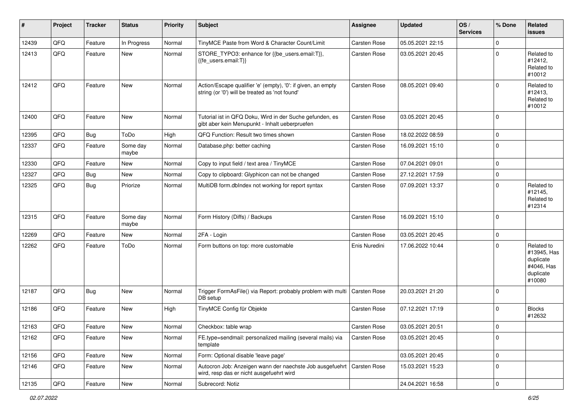| #     | Project | <b>Tracker</b> | <b>Status</b>     | <b>Priority</b> | <b>Subject</b>                                                                                                 | <b>Assignee</b>     | <b>Updated</b>   | OS/<br><b>Services</b> | % Done      | Related<br><b>issues</b>                                                    |
|-------|---------|----------------|-------------------|-----------------|----------------------------------------------------------------------------------------------------------------|---------------------|------------------|------------------------|-------------|-----------------------------------------------------------------------------|
| 12439 | QFQ     | Feature        | In Progress       | Normal          | TinyMCE Paste from Word & Character Count/Limit                                                                | Carsten Rose        | 05.05.2021 22:15 |                        | 0           |                                                                             |
| 12413 | QFQ     | Feature        | New               | Normal          | STORE_TYPO3: enhance for {{be_users.email:T}},<br>{{fe users.email:T}}                                         | Carsten Rose        | 03.05.2021 20:45 |                        | $\Omega$    | Related to<br>#12412,<br>Related to<br>#10012                               |
| 12412 | QFQ     | Feature        | New               | Normal          | Action/Escape qualifier 'e' (empty), '0': if given, an empty<br>string (or '0') will be treated as 'not found' | Carsten Rose        | 08.05.2021 09:40 |                        | $\Omega$    | Related to<br>#12413,<br>Related to<br>#10012                               |
| 12400 | QFQ     | Feature        | New               | Normal          | Tutorial ist in QFQ Doku, Wird in der Suche gefunden, es<br>gibt aber kein Menupunkt - Inhalt ueberpruefen     | Carsten Rose        | 03.05.2021 20:45 |                        | 0           |                                                                             |
| 12395 | QFQ     | Bug            | ToDo              | High            | QFQ Function: Result two times shown                                                                           | Carsten Rose        | 18.02.2022 08:59 |                        | 0           |                                                                             |
| 12337 | QFQ     | Feature        | Some day<br>maybe | Normal          | Database.php: better caching                                                                                   | Carsten Rose        | 16.09.2021 15:10 |                        | $\mathbf 0$ |                                                                             |
| 12330 | QFQ     | Feature        | <b>New</b>        | Normal          | Copy to input field / text area / TinyMCE                                                                      | Carsten Rose        | 07.04.2021 09:01 |                        | 0           |                                                                             |
| 12327 | QFQ     | <b>Bug</b>     | New               | Normal          | Copy to clipboard: Glyphicon can not be changed                                                                | Carsten Rose        | 27.12.2021 17:59 |                        | 0           |                                                                             |
| 12325 | QFQ     | Bug            | Priorize          | Normal          | MultiDB form.dblndex not working for report syntax                                                             | Carsten Rose        | 07.09.2021 13:37 |                        | $\Omega$    | Related to<br>#12145,<br>Related to<br>#12314                               |
| 12315 | QFQ     | Feature        | Some day<br>maybe | Normal          | Form History (Diffs) / Backups                                                                                 | Carsten Rose        | 16.09.2021 15:10 |                        | 0           |                                                                             |
| 12269 | QFQ     | Feature        | <b>New</b>        | Normal          | 2FA - Login                                                                                                    | Carsten Rose        | 03.05.2021 20:45 |                        | 0           |                                                                             |
| 12262 | QFQ     | Feature        | ToDo              | Normal          | Form buttons on top: more customable                                                                           | Enis Nuredini       | 17.06.2022 10:44 |                        | $\Omega$    | Related to<br>#13945, Has<br>duplicate<br>#4046, Has<br>duplicate<br>#10080 |
| 12187 | QFQ     | <b>Bug</b>     | New               | Normal          | Trigger FormAsFile() via Report: probably problem with multi<br>DB setup                                       | Carsten Rose        | 20.03.2021 21:20 |                        | $\mathbf 0$ |                                                                             |
| 12186 | QFQ     | Feature        | New               | High            | TinyMCE Config für Objekte                                                                                     | Carsten Rose        | 07.12.2021 17:19 |                        | $\Omega$    | <b>Blocks</b><br>#12632                                                     |
| 12163 | QFQ     | Feature        | New               | Normal          | Checkbox: table wrap                                                                                           | <b>Carsten Rose</b> | 03.05.2021 20:51 |                        | $\mathbf 0$ |                                                                             |
| 12162 | QFQ     | Feature        | New               | Normal          | FE.type=sendmail: personalized mailing (several mails) via<br>template                                         | Carsten Rose        | 03.05.2021 20:45 |                        | 0           |                                                                             |
| 12156 | QFQ     | Feature        | New               | Normal          | Form: Optional disable 'leave page'                                                                            |                     | 03.05.2021 20:45 |                        | 0           |                                                                             |
| 12146 | QFQ     | Feature        | New               | Normal          | Autocron Job: Anzeigen wann der naechste Job ausgefuehrt<br>wird, resp das er nicht ausgefuehrt wird           | <b>Carsten Rose</b> | 15.03.2021 15:23 |                        | 0           |                                                                             |
| 12135 | QFG     | Feature        | New               | Normal          | Subrecord: Notiz                                                                                               |                     | 24.04.2021 16:58 |                        | $\pmb{0}$   |                                                                             |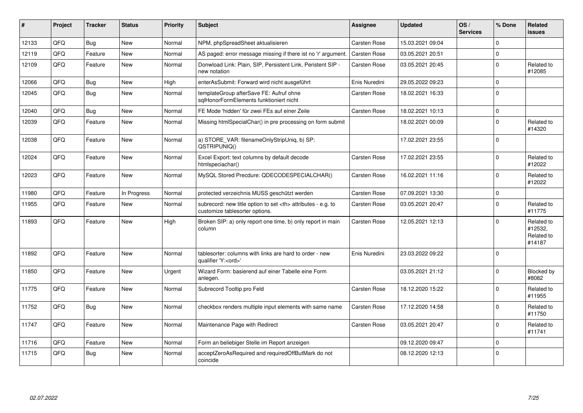| #     | Project | <b>Tracker</b> | <b>Status</b> | Priority | <b>Subject</b>                                                                                       | <b>Assignee</b>                                        | <b>Updated</b>   | OS/<br><b>Services</b> | % Done       | <b>Related</b><br><b>issues</b>               |                      |
|-------|---------|----------------|---------------|----------|------------------------------------------------------------------------------------------------------|--------------------------------------------------------|------------------|------------------------|--------------|-----------------------------------------------|----------------------|
| 12133 | QFQ     | Bug            | <b>New</b>    | Normal   | NPM, phpSpreadSheet aktualisieren                                                                    | Carsten Rose                                           | 15.03.2021 09:04 |                        | $\Omega$     |                                               |                      |
| 12119 | QFQ     | Feature        | <b>New</b>    | Normal   | AS paged: error message missing if there ist no 'r' argument.                                        | Carsten Rose                                           | 03.05.2021 20:51 |                        | $\mathbf 0$  |                                               |                      |
| 12109 | QFQ     | Feature        | <b>New</b>    | Normal   | Donwload Link: Plain, SIP, Persistent Link, Peristent SIP -<br>new notation                          | <b>Carsten Rose</b>                                    | 03.05.2021 20:45 |                        | $\Omega$     | Related to<br>#12085                          |                      |
| 12066 | QFQ     | Bug            | <b>New</b>    | High     | enterAsSubmit: Forward wird nicht ausgeführt                                                         | Enis Nuredini                                          | 29.05.2022 09:23 |                        | $\mathbf 0$  |                                               |                      |
| 12045 | QFQ     | Bug            | <b>New</b>    | Normal   | templateGroup afterSave FE: Aufruf ohne<br>sglHonorFormElements funktioniert nicht                   | Carsten Rose                                           | 18.02.2021 16:33 |                        | $\Omega$     |                                               |                      |
| 12040 | QFQ     | Bug            | <b>New</b>    | Normal   | FE Mode 'hidden' für zwei FEs auf einer Zeile                                                        | Carsten Rose                                           | 18.02.2021 10:13 |                        | $\mathbf 0$  |                                               |                      |
| 12039 | QFQ     | Feature        | <b>New</b>    | Normal   | Missing htmlSpecialChar() in pre processing on form submit                                           |                                                        | 18.02.2021 00:09 |                        | $\mathbf 0$  | Related to<br>#14320                          |                      |
| 12038 | QFQ     | Feature        | <b>New</b>    | Normal   | a) STORE_VAR: filenameOnlyStripUniq, b) SP:<br>QSTRIPUNIQ()                                          |                                                        | 17.02.2021 23:55 |                        | $\Omega$     |                                               |                      |
| 12024 | QFQ     | Feature        | <b>New</b>    | Normal   | Excel Export: text columns by default decode<br>htmlspeciachar()                                     | Carsten Rose                                           | 17.02.2021 23:55 |                        | $\Omega$     | Related to<br>#12022                          |                      |
| 12023 | QFQ     | Feature        | New           | Normal   | MySQL Stored Precdure: QDECODESPECIALCHAR()                                                          | Carsten Rose                                           | 16.02.2021 11:16 |                        | $\mathbf{0}$ | Related to<br>#12022                          |                      |
| 11980 | QFQ     | Feature        | In Progress   | Normal   | protected verzeichnis MUSS geschützt werden                                                          | Carsten Rose                                           | 07.09.2021 13:30 |                        | $\mathbf 0$  |                                               |                      |
| 11955 | QFQ     | Feature        | <b>New</b>    | Normal   | subrecord: new title option to set <th> attributes - e.g. to<br/>customize tablesorter options.</th> | attributes - e.g. to<br>customize tablesorter options. | Carsten Rose     | 03.05.2021 20:47       |              | $\Omega$                                      | Related to<br>#11775 |
| 11893 | QFQ     | Feature        | <b>New</b>    | High     | Broken SIP: a) only report one time, b) only report in main<br>column                                | Carsten Rose                                           | 12.05.2021 12:13 |                        | $\Omega$     | Related to<br>#12532,<br>Related to<br>#14187 |                      |
| 11892 | QFQ     | Feature        | <b>New</b>    | Normal   | tablesorter: columns with links are hard to order - new<br>qualifier 'Y: <ord>'</ord>                | Enis Nuredini                                          | 23.03.2022 09:22 |                        | $\Omega$     |                                               |                      |
| 11850 | QFQ     | Feature        | New           | Urgent   | Wizard Form: basierend auf einer Tabelle eine Form<br>anlegen.                                       |                                                        | 03.05.2021 21:12 |                        | $\mathbf 0$  | Blocked by<br>#8082                           |                      |
| 11775 | QFQ     | Feature        | New           | Normal   | Subrecord Tooltip pro Feld                                                                           | Carsten Rose                                           | 18.12.2020 15:22 |                        | $\Omega$     | Related to<br>#11955                          |                      |
| 11752 | QFQ     | Bug            | <b>New</b>    | Normal   | checkbox renders multiple input elements with same name                                              | Carsten Rose                                           | 17.12.2020 14:58 |                        | $\Omega$     | Related to<br>#11750                          |                      |
| 11747 | QFQ     | Feature        | <b>New</b>    | Normal   | Maintenance Page with Redirect                                                                       | Carsten Rose                                           | 03.05.2021 20:47 |                        | $\Omega$     | Related to<br>#11741                          |                      |
| 11716 | QFQ     | Feature        | <b>New</b>    | Normal   | Form an beliebiger Stelle im Report anzeigen                                                         |                                                        | 09.12.2020 09:47 |                        | $\mathbf 0$  |                                               |                      |
| 11715 | QFQ     | Bug            | <b>New</b>    | Normal   | acceptZeroAsRequired and requiredOffButMark do not<br>coincide                                       |                                                        | 08.12.2020 12:13 |                        | $\mathbf 0$  |                                               |                      |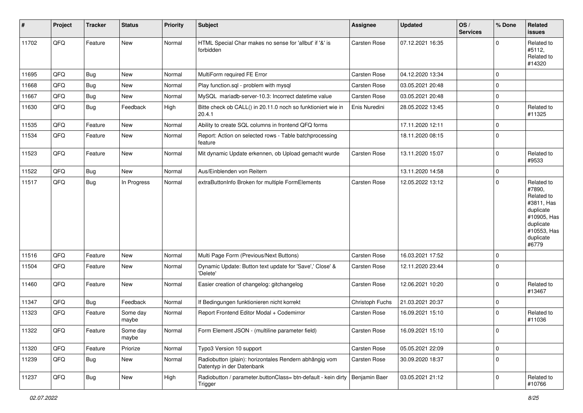| #     | Project | <b>Tracker</b> | <b>Status</b>     | <b>Priority</b> | <b>Subject</b>                                                                      | Assignee            | <b>Updated</b>   | OS/<br><b>Services</b> | % Done      | Related<br>issues                                                                                                              |
|-------|---------|----------------|-------------------|-----------------|-------------------------------------------------------------------------------------|---------------------|------------------|------------------------|-------------|--------------------------------------------------------------------------------------------------------------------------------|
| 11702 | QFQ     | Feature        | New               | Normal          | HTML Special Char makes no sense for 'allbut' if '&' is<br>forbidden                | Carsten Rose        | 07.12.2021 16:35 |                        | $\mathbf 0$ | Related to<br>#5112,<br>Related to<br>#14320                                                                                   |
| 11695 | QFQ     | Bug            | New               | Normal          | MultiForm required FE Error                                                         | Carsten Rose        | 04.12.2020 13:34 |                        | 0           |                                                                                                                                |
| 11668 | QFQ     | Bug            | New               | Normal          | Play function.sql - problem with mysql                                              | Carsten Rose        | 03.05.2021 20:48 |                        | $\mathbf 0$ |                                                                                                                                |
| 11667 | QFQ     | Bug            | New               | Normal          | MySQL mariadb-server-10.3: Incorrect datetime value                                 | Carsten Rose        | 03.05.2021 20:48 |                        | 0           |                                                                                                                                |
| 11630 | QFQ     | Bug            | Feedback          | High            | Bitte check ob CALL() in 20.11.0 noch so funktioniert wie in<br>20.4.1              | Enis Nuredini       | 28.05.2022 13:45 |                        | 0           | Related to<br>#11325                                                                                                           |
| 11535 | QFQ     | Feature        | New               | Normal          | Ability to create SQL columns in frontend QFQ forms                                 |                     | 17.11.2020 12:11 |                        | 0           |                                                                                                                                |
| 11534 | QFQ     | Feature        | New               | Normal          | Report: Action on selected rows - Table batchprocessing<br>feature                  |                     | 18.11.2020 08:15 |                        | 0           |                                                                                                                                |
| 11523 | QFQ     | Feature        | New               | Normal          | Mit dynamic Update erkennen, ob Upload gemacht wurde                                | Carsten Rose        | 13.11.2020 15:07 |                        | 0           | Related to<br>#9533                                                                                                            |
| 11522 | QFQ     | Bug            | New               | Normal          | Aus/Einblenden von Reitern                                                          |                     | 13.11.2020 14:58 |                        | 0           |                                                                                                                                |
| 11517 | QFQ     | <b>Bug</b>     | In Progress       | Normal          | extraButtonInfo Broken for multiple FormElements                                    | Carsten Rose        | 12.05.2022 13:12 |                        | $\mathbf 0$ | Related to<br>#7890,<br>Related to<br>#3811, Has<br>duplicate<br>#10905, Has<br>duplicate<br>#10553, Has<br>duplicate<br>#6779 |
| 11516 | QFQ     | Feature        | <b>New</b>        | Normal          | Multi Page Form (Previous/Next Buttons)                                             | Carsten Rose        | 16.03.2021 17:52 |                        | $\mathbf 0$ |                                                                                                                                |
| 11504 | QFQ     | Feature        | New               | Normal          | Dynamic Update: Button text update for 'Save',' Close' &<br>'Delete'                | Carsten Rose        | 12.11.2020 23:44 |                        | 0           |                                                                                                                                |
| 11460 | QFQ     | Feature        | New               | Normal          | Easier creation of changelog: gitchangelog                                          | Carsten Rose        | 12.06.2021 10:20 |                        | 0           | Related to<br>#13467                                                                                                           |
| 11347 | QFQ     | <b>Bug</b>     | Feedback          | Normal          | If Bedingungen funktionieren nicht korrekt                                          | Christoph Fuchs     | 21.03.2021 20:37 |                        | 0           |                                                                                                                                |
| 11323 | QFQ     | Feature        | Some day<br>maybe | Normal          | Report Frontend Editor Modal + Codemirror                                           | Carsten Rose        | 16.09.2021 15:10 |                        | $\mathbf 0$ | Related to<br>#11036                                                                                                           |
| 11322 | QFG     | Feature        | Some day<br>maybe | Normal          | Form Element JSON - (multiline parameter field)                                     | Carsten Rose        | 16.09.2021 15:10 |                        | 0           |                                                                                                                                |
| 11320 | QFQ     | Feature        | Priorize          | Normal          | Typo3 Version 10 support                                                            | Carsten Rose        | 05.05.2021 22:09 |                        | 0           |                                                                                                                                |
| 11239 | QFO     | <b>Bug</b>     | New               | Normal          | Radiobutton (plain): horizontales Rendern abhängig vom<br>Datentyp in der Datenbank | <b>Carsten Rose</b> | 30.09.2020 18:37 |                        | 0           |                                                                                                                                |
| 11237 | QFQ     | <b>Bug</b>     | New               | High            | Radiobutton / parameter.buttonClass= btn-default - kein dirty<br>Trigger            | Benjamin Baer       | 03.05.2021 21:12 |                        | 0           | Related to<br>#10766                                                                                                           |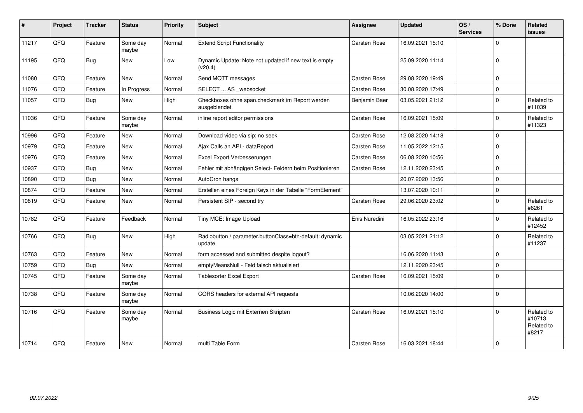| $\vert$ # | Project | <b>Tracker</b> | <b>Status</b>     | Priority | <b>Subject</b>                                                     | Assignee      | <b>Updated</b>   | OS/<br><b>Services</b> | % Done      | Related<br>issues                            |
|-----------|---------|----------------|-------------------|----------|--------------------------------------------------------------------|---------------|------------------|------------------------|-------------|----------------------------------------------|
| 11217     | QFQ     | Feature        | Some day<br>maybe | Normal   | <b>Extend Script Functionality</b>                                 | Carsten Rose  | 16.09.2021 15:10 |                        | $\Omega$    |                                              |
| 11195     | QFQ     | Bug            | New               | Low      | Dynamic Update: Note not updated if new text is empty<br>(v20.4)   |               | 25.09.2020 11:14 |                        | $\Omega$    |                                              |
| 11080     | QFQ     | Feature        | New               | Normal   | Send MQTT messages                                                 | Carsten Rose  | 29.08.2020 19:49 |                        | 0           |                                              |
| 11076     | QFQ     | Feature        | In Progress       | Normal   | SELECT  AS _websocket                                              | Carsten Rose  | 30.08.2020 17:49 |                        | 0           |                                              |
| 11057     | QFQ     | Bug            | New               | High     | Checkboxes ohne span.checkmark im Report werden<br>ausgeblendet    | Benjamin Baer | 03.05.2021 21:12 |                        | 0           | Related to<br>#11039                         |
| 11036     | QFQ     | Feature        | Some day<br>maybe | Normal   | inline report editor permissions                                   | Carsten Rose  | 16.09.2021 15:09 |                        | 0           | Related to<br>#11323                         |
| 10996     | QFQ     | Feature        | New               | Normal   | Download video via sip: no seek                                    | Carsten Rose  | 12.08.2020 14:18 |                        | 0           |                                              |
| 10979     | QFQ     | Feature        | <b>New</b>        | Normal   | Ajax Calls an API - dataReport                                     | Carsten Rose  | 11.05.2022 12:15 |                        | $\Omega$    |                                              |
| 10976     | QFQ     | Feature        | New               | Normal   | Excel Export Verbesserungen                                        | Carsten Rose  | 06.08.2020 10:56 |                        | 0           |                                              |
| 10937     | QFQ     | Bug            | <b>New</b>        | Normal   | Fehler mit abhängigen Select- Feldern beim Positionieren           | Carsten Rose  | 12.11.2020 23:45 |                        | $\mathbf 0$ |                                              |
| 10890     | QFQ     | Bug            | New               | Normal   | AutoCron hangs                                                     |               | 20.07.2020 13:56 |                        | 0           |                                              |
| 10874     | QFQ     | Feature        | <b>New</b>        | Normal   | Erstellen eines Foreign Keys in der Tabelle "FormElement"          |               | 13.07.2020 10:11 |                        | $\Omega$    |                                              |
| 10819     | QFQ     | Feature        | <b>New</b>        | Normal   | Persistent SIP - second try                                        | Carsten Rose  | 29.06.2020 23:02 |                        | $\mathbf 0$ | Related to<br>#6261                          |
| 10782     | QFQ     | Feature        | Feedback          | Normal   | Tiny MCE: Image Upload                                             | Enis Nuredini | 16.05.2022 23:16 |                        | $\mathbf 0$ | Related to<br>#12452                         |
| 10766     | QFQ     | Bug            | New               | High     | Radiobutton / parameter.buttonClass=btn-default: dynamic<br>update |               | 03.05.2021 21:12 |                        | 0           | Related to<br>#11237                         |
| 10763     | QFQ     | Feature        | <b>New</b>        | Normal   | form accessed and submitted despite logout?                        |               | 16.06.2020 11:43 |                        | 0           |                                              |
| 10759     | QFQ     | Bug            | <b>New</b>        | Normal   | emptyMeansNull - Feld falsch aktualisiert                          |               | 12.11.2020 23:45 |                        | $\mathbf 0$ |                                              |
| 10745     | QFQ     | Feature        | Some day<br>maybe | Normal   | <b>Tablesorter Excel Export</b>                                    | Carsten Rose  | 16.09.2021 15:09 |                        | $\Omega$    |                                              |
| 10738     | QFQ     | Feature        | Some day<br>maybe | Normal   | CORS headers for external API requests                             |               | 10.06.2020 14:00 |                        | 0           |                                              |
| 10716     | QFQ     | Feature        | Some day<br>maybe | Normal   | Business Logic mit Externen Skripten                               | Carsten Rose  | 16.09.2021 15:10 |                        | $\Omega$    | Related to<br>#10713,<br>Related to<br>#8217 |
| 10714     | QFQ     | Feature        | <b>New</b>        | Normal   | multi Table Form                                                   | Carsten Rose  | 16.03.2021 18:44 |                        | $\mathbf 0$ |                                              |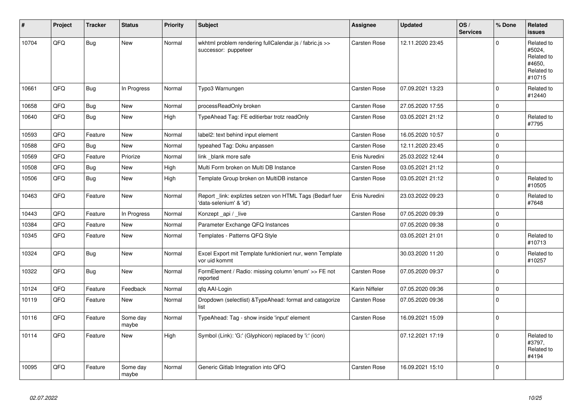| #     | Project | <b>Tracker</b> | <b>Status</b>     | <b>Priority</b> | <b>Subject</b>                                                                      | Assignee            | <b>Updated</b>   | OS/<br><b>Services</b> | % Done      | Related<br><b>issues</b>                                             |
|-------|---------|----------------|-------------------|-----------------|-------------------------------------------------------------------------------------|---------------------|------------------|------------------------|-------------|----------------------------------------------------------------------|
| 10704 | QFQ     | Bug            | <b>New</b>        | Normal          | wkhtml problem rendering fullCalendar.js / fabric.js >><br>successor: puppeteer     | <b>Carsten Rose</b> | 12.11.2020 23:45 |                        | $\Omega$    | Related to<br>#5024,<br>Related to<br>#4650,<br>Related to<br>#10715 |
| 10661 | QFQ     | Bug            | In Progress       | Normal          | Typo3 Warnungen                                                                     | <b>Carsten Rose</b> | 07.09.2021 13:23 |                        | $\Omega$    | Related to<br>#12440                                                 |
| 10658 | QFQ     | Bug            | New               | Normal          | processReadOnly broken                                                              | <b>Carsten Rose</b> | 27.05.2020 17:55 |                        | 0           |                                                                      |
| 10640 | QFQ     | Bug            | New               | High            | TypeAhead Tag: FE editierbar trotz readOnly                                         | <b>Carsten Rose</b> | 03.05.2021 21:12 |                        | 0           | Related to<br>#7795                                                  |
| 10593 | QFQ     | Feature        | New               | Normal          | label2: text behind input element                                                   | <b>Carsten Rose</b> | 16.05.2020 10:57 |                        | 0           |                                                                      |
| 10588 | QFQ     | Bug            | New               | Normal          | typeahed Tag: Doku anpassen                                                         | Carsten Rose        | 12.11.2020 23:45 |                        | 0           |                                                                      |
| 10569 | QFQ     | Feature        | Priorize          | Normal          | link _blank more safe                                                               | Enis Nuredini       | 25.03.2022 12:44 |                        | 0           |                                                                      |
| 10508 | QFQ     | <b>Bug</b>     | New               | High            | Multi Form broken on Multi DB Instance                                              | Carsten Rose        | 03.05.2021 21:12 |                        | $\Omega$    |                                                                      |
| 10506 | QFQ     | <b>Bug</b>     | New               | High            | Template Group broken on MultiDB instance                                           | <b>Carsten Rose</b> | 03.05.2021 21:12 |                        | $\Omega$    | Related to<br>#10505                                                 |
| 10463 | QFQ     | Feature        | New               | Normal          | Report_link: expliztes setzen von HTML Tags (Bedarf fuer<br>'data-selenium' & 'id') | Enis Nuredini       | 23.03.2022 09:23 |                        | $\Omega$    | Related to<br>#7648                                                  |
| 10443 | QFQ     | Feature        | In Progress       | Normal          | Konzept _api / _live                                                                | Carsten Rose        | 07.05.2020 09:39 |                        | 0           |                                                                      |
| 10384 | QFQ     | Feature        | <b>New</b>        | Normal          | Parameter Exchange QFQ Instances                                                    |                     | 07.05.2020 09:38 |                        | 0           |                                                                      |
| 10345 | QFQ     | Feature        | New               | Normal          | Templates - Patterns QFQ Style                                                      |                     | 03.05.2021 21:01 |                        | $\Omega$    | Related to<br>#10713                                                 |
| 10324 | QFQ     | <b>Bug</b>     | <b>New</b>        | Normal          | Excel Export mit Template funktioniert nur, wenn Template<br>vor uid kommt          |                     | 30.03.2020 11:20 |                        | 0           | Related to<br>#10257                                                 |
| 10322 | QFQ     | Bug            | New               | Normal          | FormElement / Radio: missing column 'enum' >> FE not<br>reported                    | Carsten Rose        | 07.05.2020 09:37 |                        | $\Omega$    |                                                                      |
| 10124 | QFQ     | Feature        | Feedback          | Normal          | gfg AAI-Login                                                                       | Karin Niffeler      | 07.05.2020 09:36 |                        | 0           |                                                                      |
| 10119 | QFQ     | Feature        | New               | Normal          | Dropdown (selectlist) & Type Ahead: format and catagorize<br>list                   | Carsten Rose        | 07.05.2020 09:36 |                        | $\mathbf 0$ |                                                                      |
| 10116 | QFQ     | Feature        | Some day<br>maybe | Normal          | TypeAhead: Tag - show inside 'input' element                                        | <b>Carsten Rose</b> | 16.09.2021 15:09 |                        | 0           |                                                                      |
| 10114 | QFQ     | Feature        | <b>New</b>        | High            | Symbol (Link): 'G:' (Glyphicon) replaced by 'i:' (icon)                             |                     | 07.12.2021 17:19 |                        | $\Omega$    | Related to<br>#3797,<br>Related to<br>#4194                          |
| 10095 | QFQ     | Feature        | Some day<br>maybe | Normal          | Generic Gitlab Integration into QFQ                                                 | <b>Carsten Rose</b> | 16.09.2021 15:10 |                        | $\Omega$    |                                                                      |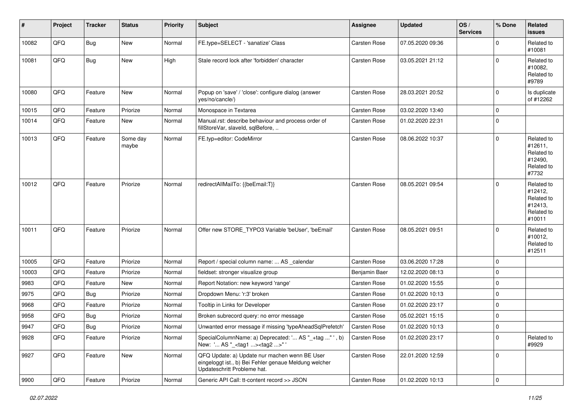| #     | Project        | <b>Tracker</b> | <b>Status</b>     | <b>Priority</b> | <b>Subject</b>                                                                                                                        | <b>Assignee</b> | Updated          | OS/<br><b>Services</b> | % Done      | Related<br>issues                                                      |
|-------|----------------|----------------|-------------------|-----------------|---------------------------------------------------------------------------------------------------------------------------------------|-----------------|------------------|------------------------|-------------|------------------------------------------------------------------------|
| 10082 | QFQ            | Bug            | New               | Normal          | FE.type=SELECT - 'sanatize' Class                                                                                                     | Carsten Rose    | 07.05.2020 09:36 |                        | 0           | Related to<br>#10081                                                   |
| 10081 | QFQ            | Bug            | New               | High            | Stale record lock after 'forbidden' character                                                                                         | Carsten Rose    | 03.05.2021 21:12 |                        | $\Omega$    | Related to<br>#10082,<br>Related to<br>#9789                           |
| 10080 | QFQ            | Feature        | New               | Normal          | Popup on 'save' / 'close': configure dialog (answer<br>yes/no/cancle/)                                                                | Carsten Rose    | 28.03.2021 20:52 |                        | $\mathbf 0$ | Is duplicate<br>of #12262                                              |
| 10015 | QFQ            | Feature        | Priorize          | Normal          | Monospace in Textarea                                                                                                                 | Carsten Rose    | 03.02.2020 13:40 |                        | $\mathbf 0$ |                                                                        |
| 10014 | QFQ            | Feature        | New               | Normal          | Manual.rst: describe behaviour and process order of<br>fillStoreVar, slaveId, sqlBefore,                                              | Carsten Rose    | 01.02.2020 22:31 |                        | $\mathbf 0$ |                                                                        |
| 10013 | QFQ            | Feature        | Some day<br>maybe | Normal          | FE.typ=editor: CodeMirror                                                                                                             | Carsten Rose    | 08.06.2022 10:37 |                        | 0           | Related to<br>#12611,<br>Related to<br>#12490,<br>Related to<br>#7732  |
| 10012 | QFQ            | Feature        | Priorize          | Normal          | redirectAllMailTo: {{beEmail:T}}                                                                                                      | Carsten Rose    | 08.05.2021 09:54 |                        | $\Omega$    | Related to<br>#12412,<br>Related to<br>#12413,<br>Related to<br>#10011 |
| 10011 | QFQ            | Feature        | Priorize          | Normal          | Offer new STORE_TYPO3 Variable 'beUser', 'beEmail'                                                                                    | Carsten Rose    | 08.05.2021 09:51 |                        | $\mathbf 0$ | Related to<br>#10012,<br>Related to<br>#12511                          |
| 10005 | QFQ            | Feature        | Priorize          | Normal          | Report / special column name:  AS _calendar                                                                                           | Carsten Rose    | 03.06.2020 17:28 |                        | $\Omega$    |                                                                        |
| 10003 | QFQ            | Feature        | Priorize          | Normal          | fieldset: stronger visualize group                                                                                                    | Benjamin Baer   | 12.02.2020 08:13 |                        | $\mathbf 0$ |                                                                        |
| 9983  | QFQ            | Feature        | New               | Normal          | Report Notation: new keyword 'range'                                                                                                  | Carsten Rose    | 01.02.2020 15:55 |                        | $\mathbf 0$ |                                                                        |
| 9975  | QFQ            | Bug            | Priorize          | Normal          | Dropdown Menu: 'r:3' broken                                                                                                           | Carsten Rose    | 01.02.2020 10:13 |                        | 0           |                                                                        |
| 9968  | QFQ            | Feature        | Priorize          | Normal          | Tooltip in Links for Developer                                                                                                        | Carsten Rose    | 01.02.2020 23:17 |                        | $\mathbf 0$ |                                                                        |
| 9958  | QFQ            | Bug            | Priorize          | Normal          | Broken subrecord query: no error message                                                                                              | Carsten Rose    | 05.02.2021 15:15 |                        | 0           |                                                                        |
| 9947  | QFQ            | Bug            | Priorize          | Normal          | Unwanted error message if missing 'typeAheadSqlPrefetch'                                                                              | Carsten Rose    | 01.02.2020 10:13 |                        | 0           |                                                                        |
| 9928  | QFQ            | Feature        | Priorize          | Normal          | SpecialColumnName: a) Deprecated: ' AS "_+tag " ', b)<br>New: ' AS "_ <tag1><tag2>"'</tag2></tag1>                                    | Carsten Rose    | 01.02.2020 23:17 |                        | $\mathbf 0$ | Related to<br>#9929                                                    |
| 9927  | QFQ            | Feature        | New               | Normal          | QFQ Update: a) Update nur machen wenn BE User<br>eingeloggt ist., b) Bei Fehler genaue Meldung welcher<br>Updateschritt Probleme hat. | Carsten Rose    | 22.01.2020 12:59 |                        | 0           |                                                                        |
| 9900  | $\mathsf{QFQ}$ | Feature        | Priorize          | Normal          | Generic API Call: tt-content record >> JSON                                                                                           | Carsten Rose    | 01.02.2020 10:13 |                        | 0           |                                                                        |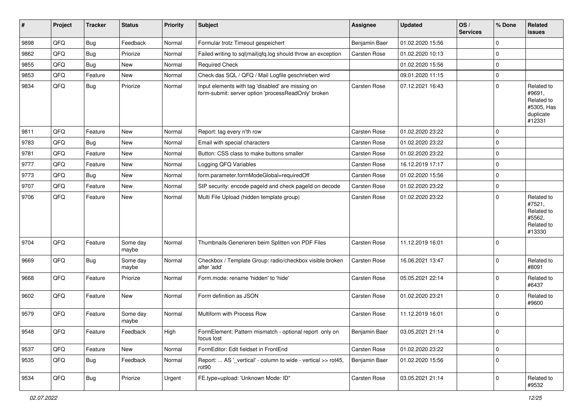| #    | Project        | <b>Tracker</b> | <b>Status</b>     | <b>Priority</b> | Subject                                                                                                  | <b>Assignee</b> | <b>Updated</b>   | OS/<br><b>Services</b> | % Done      | Related<br><b>issues</b>                                                |
|------|----------------|----------------|-------------------|-----------------|----------------------------------------------------------------------------------------------------------|-----------------|------------------|------------------------|-------------|-------------------------------------------------------------------------|
| 9898 | QFQ            | Bug            | Feedback          | Normal          | Formular trotz Timeout gespeichert                                                                       | Benjamin Baer   | 01.02.2020 15:56 |                        | 0           |                                                                         |
| 9862 | QFQ            | Bug            | Priorize          | Normal          | Failed writing to sql mail qfq.log should throw an exception                                             | Carsten Rose    | 01.02.2020 10:13 |                        | $\Omega$    |                                                                         |
| 9855 | QFQ            | <b>Bug</b>     | New               | Normal          | <b>Required Check</b>                                                                                    |                 | 01.02.2020 15:56 |                        | $\Omega$    |                                                                         |
| 9853 | QFQ            | Feature        | New               | Normal          | Check das SQL / QFQ / Mail Logfile geschrieben wird                                                      |                 | 09.01.2020 11:15 |                        | 0           |                                                                         |
| 9834 | QFQ            | Bug            | Priorize          | Normal          | Input elements with tag 'disabled' are missing on<br>form-submit: server option 'processReadOnly' broken | Carsten Rose    | 07.12.2021 16:43 |                        | 0           | Related to<br>#9691,<br>Related to<br>#5305, Has<br>duplicate<br>#12331 |
| 9811 | QFQ            | Feature        | New               | Normal          | Report: tag every n'th row                                                                               | Carsten Rose    | 01.02.2020 23:22 |                        | $\Omega$    |                                                                         |
| 9783 | QFQ            | Bug            | <b>New</b>        | Normal          | Email with special characters                                                                            | Carsten Rose    | 01.02.2020 23:22 |                        | $\mathbf 0$ |                                                                         |
| 9781 | QFQ            | Feature        | New               | Normal          | Button: CSS class to make buttons smaller                                                                | Carsten Rose    | 01.02.2020 23:22 |                        | $\mathbf 0$ |                                                                         |
| 9777 | QFQ            | Feature        | New               | Normal          | Logging QFQ Variables                                                                                    | Carsten Rose    | 16.12.2019 17:17 |                        | 0           |                                                                         |
| 9773 | QFQ            | Bug            | New               | Normal          | form.parameter.formModeGlobal=requiredOff                                                                | Carsten Rose    | 01.02.2020 15:56 |                        | $\mathbf 0$ |                                                                         |
| 9707 | QFQ            | Feature        | New               | Normal          | SIP security: encode pageld and check pageld on decode                                                   | Carsten Rose    | 01.02.2020 23:22 |                        | 0           |                                                                         |
| 9706 | QFQ            | Feature        | New               | Normal          | Multi File Upload (hidden template group)                                                                | Carsten Rose    | 01.02.2020 23:22 |                        | $\Omega$    | Related to<br>#7521,<br>Related to<br>#5562,<br>Related to<br>#13330    |
| 9704 | QFQ            | Feature        | Some day<br>maybe | Normal          | Thumbnails Generieren beim Splitten von PDF Files                                                        | Carsten Rose    | 11.12.2019 16:01 |                        | 0           |                                                                         |
| 9669 | QFQ            | <b>Bug</b>     | Some day<br>maybe | Normal          | Checkbox / Template Group: radio/checkbox visible broken<br>after 'add'                                  | Carsten Rose    | 16.06.2021 13:47 |                        | $\Omega$    | Related to<br>#8091                                                     |
| 9668 | QFQ            | Feature        | Priorize          | Normal          | Form.mode: rename 'hidden' to 'hide'                                                                     | Carsten Rose    | 05.05.2021 22:14 |                        | $\mathbf 0$ | Related to<br>#6437                                                     |
| 9602 | QFQ            | Feature        | <b>New</b>        | Normal          | Form definition as JSON                                                                                  | Carsten Rose    | 01.02.2020 23:21 |                        | $\Omega$    | Related to<br>#9600                                                     |
| 9579 | QFQ            | Feature        | Some day<br>maybe | Normal          | Multiform with Process Row                                                                               | Carsten Rose    | 11.12.2019 16:01 |                        | $\mathbf 0$ |                                                                         |
| 9548 | $\mathsf{QFQ}$ | Feature        | Feedback          | High            | FormElement: Pattern mismatch - optional report only on<br>focus lost                                    | Benjamin Baer   | 03.05.2021 21:14 |                        | 0           |                                                                         |
| 9537 | QFQ            | Feature        | New               | Normal          | FormEditor: Edit fieldset in FrontEnd                                                                    | Carsten Rose    | 01.02.2020 23:22 |                        | 0           |                                                                         |
| 9535 | QFQ            | <b>Bug</b>     | Feedback          | Normal          | Report:  AS '_vertical' - column to wide - vertical >> rot45,<br>rot90                                   | Benjamin Baer   | 01.02.2020 15:56 |                        | 0           |                                                                         |
| 9534 | QFQ            | Bug            | Priorize          | Urgent          | FE.type=upload: 'Unknown Mode: ID"                                                                       | Carsten Rose    | 03.05.2021 21:14 |                        | 0           | Related to<br>#9532                                                     |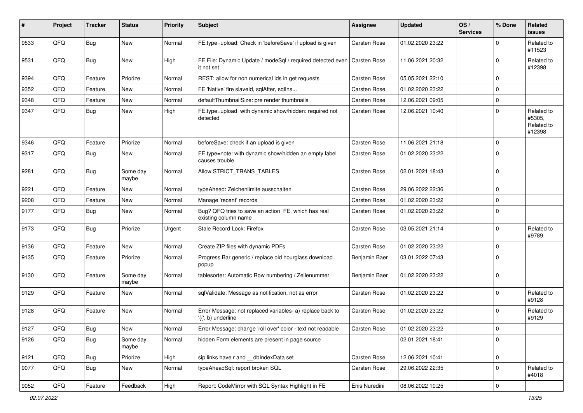| #    | Project | <b>Tracker</b> | <b>Status</b>     | <b>Priority</b> | Subject                                                                                 | Assignee            | <b>Updated</b>   | OS/<br><b>Services</b> | % Done      | Related<br><b>issues</b>                     |
|------|---------|----------------|-------------------|-----------------|-----------------------------------------------------------------------------------------|---------------------|------------------|------------------------|-------------|----------------------------------------------|
| 9533 | QFQ     | Bug            | New               | Normal          | FE.type=upload: Check in 'beforeSave' if upload is given                                | <b>Carsten Rose</b> | 01.02.2020 23:22 |                        | $\Omega$    | Related to<br>#11523                         |
| 9531 | QFQ     | Bug            | <b>New</b>        | High            | FE File: Dynamic Update / modeSql / required detected even   Carsten Rose<br>it not set |                     | 11.06.2021 20:32 |                        | $\mathbf 0$ | Related to<br>#12398                         |
| 9394 | QFQ     | Feature        | Priorize          | Normal          | REST: allow for non numerical ids in get requests                                       | <b>Carsten Rose</b> | 05.05.2021 22:10 |                        | $\mathbf 0$ |                                              |
| 9352 | QFQ     | Feature        | <b>New</b>        | Normal          | FE 'Native' fire slaveld, sqlAfter, sqlIns                                              | Carsten Rose        | 01.02.2020 23:22 |                        | $\Omega$    |                                              |
| 9348 | QFQ     | Feature        | <b>New</b>        | Normal          | defaultThumbnailSize: pre render thumbnails                                             | Carsten Rose        | 12.06.2021 09:05 |                        | 0           |                                              |
| 9347 | QFQ     | <b>Bug</b>     | New               | High            | FE.type=upload with dynamic show/hidden: required not<br>detected                       | <b>Carsten Rose</b> | 12.06.2021 10:40 |                        | $\mathbf 0$ | Related to<br>#5305,<br>Related to<br>#12398 |
| 9346 | QFQ     | Feature        | Priorize          | Normal          | beforeSave: check if an upload is given                                                 | <b>Carsten Rose</b> | 11.06.2021 21:18 |                        | $\mathbf 0$ |                                              |
| 9317 | QFQ     | Bug            | New               | Normal          | FE.type=note: with dynamic show/hidden an empty label<br>causes trouble                 | <b>Carsten Rose</b> | 01.02.2020 23:22 |                        | $\Omega$    |                                              |
| 9281 | QFQ     | Bug            | Some day<br>maybe | Normal          | Allow STRICT_TRANS_TABLES                                                               | Carsten Rose        | 02.01.2021 18:43 |                        | $\mathbf 0$ |                                              |
| 9221 | QFQ     | Feature        | <b>New</b>        | Normal          | typeAhead: Zeichenlimite ausschalten                                                    | <b>Carsten Rose</b> | 29.06.2022 22:36 |                        | $\mathbf 0$ |                                              |
| 9208 | QFQ     | Feature        | New               | Normal          | Manage 'recent' records                                                                 | Carsten Rose        | 01.02.2020 23:22 |                        | $\mathbf 0$ |                                              |
| 9177 | QFQ     | <b>Bug</b>     | <b>New</b>        | Normal          | Bug? QFQ tries to save an action FE, which has real<br>existing column name             | Carsten Rose        | 01.02.2020 23:22 |                        | $\Omega$    |                                              |
| 9173 | QFQ     | Bug            | Priorize          | Urgent          | Stale Record Lock: Firefox                                                              | Carsten Rose        | 03.05.2021 21:14 |                        | $\mathbf 0$ | Related to<br>#9789                          |
| 9136 | QFQ     | Feature        | New               | Normal          | Create ZIP files with dynamic PDFs                                                      | <b>Carsten Rose</b> | 01.02.2020 23:22 |                        | $\mathbf 0$ |                                              |
| 9135 | QFQ     | Feature        | Priorize          | Normal          | Progress Bar generic / replace old hourglass download<br>popup                          | Benjamin Baer       | 03.01.2022 07:43 |                        | $\Omega$    |                                              |
| 9130 | QFQ     | Feature        | Some day<br>maybe | Normal          | tablesorter: Automatic Row numbering / Zeilenummer                                      | Benjamin Baer       | 01.02.2020 23:22 |                        | $\mathbf 0$ |                                              |
| 9129 | QFQ     | Feature        | <b>New</b>        | Normal          | sqlValidate: Message as notification, not as error                                      | Carsten Rose        | 01.02.2020 23:22 |                        | $\mathbf 0$ | Related to<br>#9128                          |
| 9128 | QFQ     | Feature        | <b>New</b>        | Normal          | Error Message: not replaced variables- a) replace back to<br>'{{', b) underline         | <b>Carsten Rose</b> | 01.02.2020 23:22 |                        | $\Omega$    | Related to<br>#9129                          |
| 9127 | QFQ     | Bug            | New               | Normal          | Error Message: change 'roll over' color - text not readable                             | Carsten Rose        | 01.02.2020 23:22 |                        | $\mathbf 0$ |                                              |
| 9126 | QFQ     | Bug            | Some day<br>maybe | Normal          | hidden Form elements are present in page source                                         |                     | 02.01.2021 18:41 |                        | $\mathbf 0$ |                                              |
| 9121 | QFQ     | <b>Bug</b>     | Priorize          | High            | sip links have r and dblndexData set                                                    | Carsten Rose        | 12.06.2021 10:41 |                        | 0           |                                              |
| 9077 | QFQ     | Bug            | New               | Normal          | typeAheadSql: report broken SQL                                                         | Carsten Rose        | 29.06.2022 22:35 |                        | $\mathbf 0$ | Related to<br>#4018                          |
| 9052 | QFQ     | Feature        | Feedback          | High            | Report: CodeMirror with SQL Syntax Highlight in FE                                      | Enis Nuredini       | 08.06.2022 10:25 |                        | $\mathbf 0$ |                                              |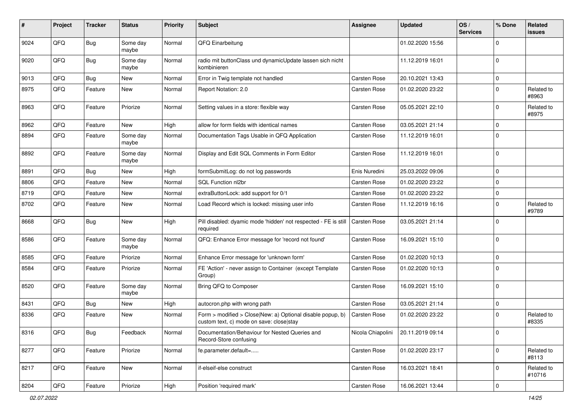| #    | Project | <b>Tracker</b> | <b>Status</b>     | <b>Priority</b> | <b>Subject</b>                                                                                         | <b>Assignee</b>   | <b>Updated</b>   | OS/<br><b>Services</b> | % Done      | Related<br>issues    |
|------|---------|----------------|-------------------|-----------------|--------------------------------------------------------------------------------------------------------|-------------------|------------------|------------------------|-------------|----------------------|
| 9024 | QFQ     | Bug            | Some day<br>maybe | Normal          | QFQ Einarbeitung                                                                                       |                   | 01.02.2020 15:56 |                        | 0           |                      |
| 9020 | QFQ     | <b>Bug</b>     | Some day<br>maybe | Normal          | radio mit buttonClass und dynamicUpdate lassen sich nicht<br>kombinieren                               |                   | 11.12.2019 16:01 |                        | $\mathbf 0$ |                      |
| 9013 | QFQ     | Bug            | New               | Normal          | Error in Twig template not handled                                                                     | Carsten Rose      | 20.10.2021 13:43 |                        | $\mathbf 0$ |                      |
| 8975 | QFQ     | Feature        | New               | Normal          | Report Notation: 2.0                                                                                   | Carsten Rose      | 01.02.2020 23:22 |                        | $\Omega$    | Related to<br>#8963  |
| 8963 | QFQ     | Feature        | Priorize          | Normal          | Setting values in a store: flexible way                                                                | Carsten Rose      | 05.05.2021 22:10 |                        | $\Omega$    | Related to<br>#8975  |
| 8962 | QFQ     | Feature        | New               | High            | allow for form fields with identical names                                                             | Carsten Rose      | 03.05.2021 21:14 |                        | 0           |                      |
| 8894 | QFQ     | Feature        | Some day<br>maybe | Normal          | Documentation Tags Usable in QFQ Application                                                           | Carsten Rose      | 11.12.2019 16:01 |                        | $\Omega$    |                      |
| 8892 | QFQ     | Feature        | Some day<br>maybe | Normal          | Display and Edit SQL Comments in Form Editor                                                           | Carsten Rose      | 11.12.2019 16:01 |                        | $\mathbf 0$ |                      |
| 8891 | QFQ     | Bug            | <b>New</b>        | High            | formSubmitLog: do not log passwords                                                                    | Enis Nuredini     | 25.03.2022 09:06 |                        | 0           |                      |
| 8806 | QFQ     | Feature        | New               | Normal          | SQL Function nl2br                                                                                     | Carsten Rose      | 01.02.2020 23:22 |                        | $\mathbf 0$ |                      |
| 8719 | QFQ     | Feature        | New               | Normal          | extraButtonLock: add support for 0/1                                                                   | Carsten Rose      | 01.02.2020 23:22 |                        | $\mathbf 0$ |                      |
| 8702 | QFQ     | Feature        | New               | Normal          | Load Record which is locked: missing user info                                                         | Carsten Rose      | 11.12.2019 16:16 |                        | 0           | Related to<br>#9789  |
| 8668 | QFQ     | Bug            | <b>New</b>        | High            | Pill disabled: dyamic mode 'hidden' not respected - FE is still<br>required                            | Carsten Rose      | 03.05.2021 21:14 |                        | $\Omega$    |                      |
| 8586 | QFQ     | Feature        | Some day<br>maybe | Normal          | QFQ: Enhance Error message for 'record not found'                                                      | Carsten Rose      | 16.09.2021 15:10 |                        | $\mathbf 0$ |                      |
| 8585 | QFQ     | Feature        | Priorize          | Normal          | Enhance Error message for 'unknown form'                                                               | Carsten Rose      | 01.02.2020 10:13 |                        | 0           |                      |
| 8584 | QFQ     | Feature        | Priorize          | Normal          | FE 'Action' - never assign to Container (except Template<br>Group)                                     | Carsten Rose      | 01.02.2020 10:13 |                        | $\mathbf 0$ |                      |
| 8520 | QFQ     | Feature        | Some day<br>maybe | Normal          | Bring QFQ to Composer                                                                                  | Carsten Rose      | 16.09.2021 15:10 |                        | 0           |                      |
| 8431 | QFQ     | Bug            | New               | High            | autocron.php with wrong path                                                                           | Carsten Rose      | 03.05.2021 21:14 |                        | 0           |                      |
| 8336 | QFQ     | Feature        | New               | Normal          | Form > modified > Close New: a) Optional disable popup, b)<br>custom text, c) mode on save: close stay | Carsten Rose      | 01.02.2020 23:22 |                        | $\mathbf 0$ | Related to<br>#8335  |
| 8316 | QFQ     | <b>Bug</b>     | Feedback          | Normal          | Documentation/Behaviour for Nested Queries and<br>Record-Store confusing                               | Nicola Chiapolini | 20.11.2019 09:14 |                        | 0           |                      |
| 8277 | QFQ     | Feature        | Priorize          | Normal          | fe.parameter.default=                                                                                  | Carsten Rose      | 01.02.2020 23:17 |                        | $\pmb{0}$   | Related to<br>#8113  |
| 8217 | QFQ     | Feature        | New               | Normal          | if-elseif-else construct                                                                               | Carsten Rose      | 16.03.2021 18:41 |                        | $\pmb{0}$   | Related to<br>#10716 |
| 8204 | QFQ     | Feature        | Priorize          | High            | Position 'required mark'                                                                               | Carsten Rose      | 16.06.2021 13:44 |                        | $\pmb{0}$   |                      |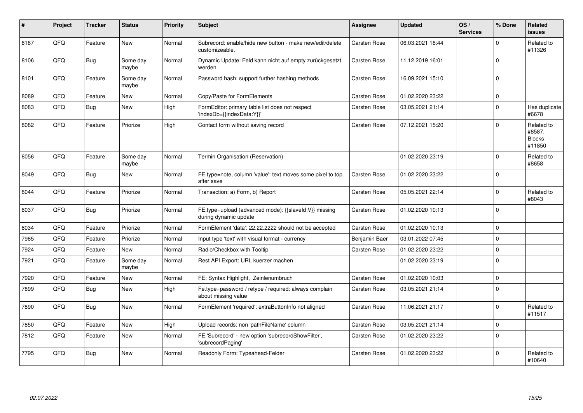| #    | Project | <b>Tracker</b> | <b>Status</b>     | <b>Priority</b> | <b>Subject</b>                                                                 | <b>Assignee</b>     | <b>Updated</b>   | OS/<br><b>Services</b> | % Done      | Related<br><b>issues</b>                        |
|------|---------|----------------|-------------------|-----------------|--------------------------------------------------------------------------------|---------------------|------------------|------------------------|-------------|-------------------------------------------------|
| 8187 | QFQ     | Feature        | <b>New</b>        | Normal          | Subrecord: enable/hide new button - make new/edit/delete<br>customizeable.     | Carsten Rose        | 06.03.2021 18:44 |                        | $\Omega$    | Related to<br>#11326                            |
| 8106 | QFQ     | <b>Bug</b>     | Some day<br>maybe | Normal          | Dynamic Update: Feld kann nicht auf empty zurückgesetzt<br>werden              | Carsten Rose        | 11.12.2019 16:01 |                        | $\Omega$    |                                                 |
| 8101 | QFQ     | Feature        | Some day<br>maybe | Normal          | Password hash: support further hashing methods                                 | <b>Carsten Rose</b> | 16.09.2021 15:10 |                        | $\Omega$    |                                                 |
| 8089 | QFQ     | Feature        | <b>New</b>        | Normal          | Copy/Paste for FormElements                                                    | <b>Carsten Rose</b> | 01.02.2020 23:22 |                        | $\pmb{0}$   |                                                 |
| 8083 | QFQ     | Bug            | <b>New</b>        | High            | FormEditor: primary table list does not respect<br>'indexDb={{indexData:Y}}'   | Carsten Rose        | 03.05.2021 21:14 |                        | $\Omega$    | Has duplicate<br>#6678                          |
| 8082 | QFQ     | Feature        | Priorize          | High            | Contact form without saving record                                             | <b>Carsten Rose</b> | 07.12.2021 15:20 |                        | $\Omega$    | Related to<br>#8587,<br><b>Blocks</b><br>#11850 |
| 8056 | QFQ     | Feature        | Some day<br>maybe | Normal          | Termin Organisation (Reservation)                                              |                     | 01.02.2020 23:19 |                        | $\Omega$    | Related to<br>#8658                             |
| 8049 | QFQ     | <b>Bug</b>     | <b>New</b>        | Normal          | FE.type=note, column 'value': text moves some pixel to top<br>after save       | Carsten Rose        | 01.02.2020 23:22 |                        | $\Omega$    |                                                 |
| 8044 | QFQ     | Feature        | Priorize          | Normal          | Transaction: a) Form, b) Report                                                | <b>Carsten Rose</b> | 05.05.2021 22:14 |                        | $\Omega$    | Related to<br>#8043                             |
| 8037 | QFQ     | Bug            | Priorize          | Normal          | FE.type=upload (advanced mode): {{slaveld:V}} missing<br>during dynamic update | Carsten Rose        | 01.02.2020 10:13 |                        | $\Omega$    |                                                 |
| 8034 | QFQ     | Feature        | Priorize          | Normal          | FormElement 'data': 22.22.2222 should not be accepted                          | Carsten Rose        | 01.02.2020 10:13 |                        | $\Omega$    |                                                 |
| 7965 | QFQ     | Feature        | Priorize          | Normal          | Input type 'text' with visual format - currency                                | Benjamin Baer       | 03.01.2022 07:45 |                        | 0           |                                                 |
| 7924 | QFQ     | Feature        | New               | Normal          | Radio/Checkbox with Tooltip                                                    | <b>Carsten Rose</b> | 01.02.2020 23:22 |                        | $\Omega$    |                                                 |
| 7921 | QFQ     | Feature        | Some day<br>maybe | Normal          | Rest API Export: URL kuerzer machen                                            |                     | 01.02.2020 23:19 |                        | $\mathbf 0$ |                                                 |
| 7920 | QFQ     | Feature        | <b>New</b>        | Normal          | FE: Syntax Highlight, Zeinlenumbruch                                           | Carsten Rose        | 01.02.2020 10:03 |                        | $\mathbf 0$ |                                                 |
| 7899 | QFQ     | Bug            | <b>New</b>        | High            | Fe.type=password / retype / required: always complain<br>about missing value   | <b>Carsten Rose</b> | 03.05.2021 21:14 |                        | $\Omega$    |                                                 |
| 7890 | QFQ     | <b>Bug</b>     | <b>New</b>        | Normal          | FormElement 'required': extraButtonInfo not aligned                            | Carsten Rose        | 11.06.2021 21:17 |                        | $\Omega$    | Related to<br>#11517                            |
| 7850 | QFQ     | Feature        | <b>New</b>        | High            | Upload records: non 'pathFileName' column                                      | Carsten Rose        | 03.05.2021 21:14 |                        | $\mathbf 0$ |                                                 |
| 7812 | QFQ     | Feature        | New               | Normal          | FE 'Subrecord' - new option 'subrecordShowFilter',<br>'subrecordPaging'        | Carsten Rose        | 01.02.2020 23:22 |                        | $\Omega$    |                                                 |
| 7795 | QFQ     | <b>Bug</b>     | <b>New</b>        | Normal          | Readonly Form: Typeahead-Felder                                                | Carsten Rose        | 01.02.2020 23:22 |                        | $\Omega$    | Related to<br>#10640                            |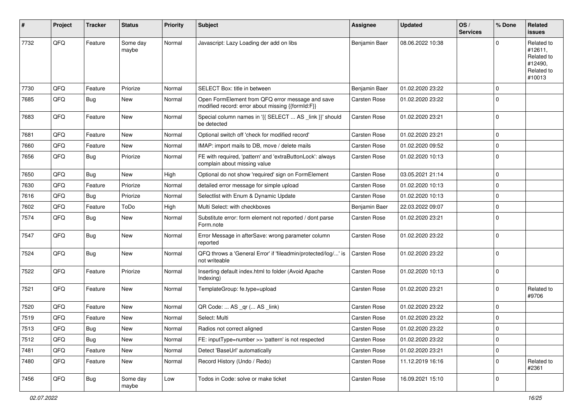| #    | Project | <b>Tracker</b> | <b>Status</b>     | <b>Priority</b> | <b>Subject</b>                                                                                        | Assignee            | <b>Updated</b>   | OS/<br><b>Services</b> | % Done      | Related<br><b>issues</b>                                               |
|------|---------|----------------|-------------------|-----------------|-------------------------------------------------------------------------------------------------------|---------------------|------------------|------------------------|-------------|------------------------------------------------------------------------|
| 7732 | QFQ     | Feature        | Some day<br>maybe | Normal          | Javascript: Lazy Loading der add on libs                                                              | Benjamin Baer       | 08.06.2022 10:38 |                        | $\Omega$    | Related to<br>#12611,<br>Related to<br>#12490,<br>Related to<br>#10013 |
| 7730 | QFQ     | Feature        | Priorize          | Normal          | SELECT Box: title in between                                                                          | Benjamin Baer       | 01.02.2020 23:22 |                        | $\Omega$    |                                                                        |
| 7685 | QFQ     | Bug            | New               | Normal          | Open FormElement from QFQ error message and save<br>modified record: error about missing {{formId:F}} | Carsten Rose        | 01.02.2020 23:22 |                        | $\Omega$    |                                                                        |
| 7683 | QFQ     | Feature        | <b>New</b>        | Normal          | Special column names in '{{ SELECT  AS _link }}' should<br>be detected                                | <b>Carsten Rose</b> | 01.02.2020 23:21 |                        | $\mathbf 0$ |                                                                        |
| 7681 | QFQ     | Feature        | <b>New</b>        | Normal          | Optional switch off 'check for modified record'                                                       | Carsten Rose        | 01.02.2020 23:21 |                        | $\mathbf 0$ |                                                                        |
| 7660 | QFQ     | Feature        | New               | Normal          | IMAP: import mails to DB, move / delete mails                                                         | Carsten Rose        | 01.02.2020 09:52 |                        | 0           |                                                                        |
| 7656 | QFQ     | Bug            | Priorize          | Normal          | FE with required, 'pattern' and 'extraButtonLock': always<br>complain about missing value             | Carsten Rose        | 01.02.2020 10:13 |                        | $\Omega$    |                                                                        |
| 7650 | QFQ     | Bug            | <b>New</b>        | High            | Optional do not show 'required' sign on FormElement                                                   | <b>Carsten Rose</b> | 03.05.2021 21:14 |                        | $\mathbf 0$ |                                                                        |
| 7630 | QFQ     | Feature        | Priorize          | Normal          | detailed error message for simple upload                                                              | Carsten Rose        | 01.02.2020 10:13 |                        | $\mathbf 0$ |                                                                        |
| 7616 | QFQ     | <b>Bug</b>     | Priorize          | Normal          | Selectlist with Enum & Dynamic Update                                                                 | Carsten Rose        | 01.02.2020 10:13 |                        | $\mathbf 0$ |                                                                        |
| 7602 | QFQ     | Feature        | ToDo              | High            | Multi Select: with checkboxes                                                                         | Benjamin Baer       | 22.03.2022 09:07 |                        | $\Omega$    |                                                                        |
| 7574 | QFQ     | Bug            | New               | Normal          | Substitute error: form element not reported / dont parse<br>Form.note                                 | Carsten Rose        | 01.02.2020 23:21 |                        | $\mathbf 0$ |                                                                        |
| 7547 | QFQ     | Bug            | New               | Normal          | Error Message in afterSave: wrong parameter column<br>reported                                        | Carsten Rose        | 01.02.2020 23:22 |                        | $\Omega$    |                                                                        |
| 7524 | QFQ     | Bug            | New               | Normal          | QFQ throws a 'General Error' if 'fileadmin/protected/log/' is<br>not writeable                        | Carsten Rose        | 01.02.2020 23:22 |                        | $\Omega$    |                                                                        |
| 7522 | QFQ     | Feature        | Priorize          | Normal          | Inserting default index.html to folder (Avoid Apache<br>Indexing)                                     | <b>Carsten Rose</b> | 01.02.2020 10:13 |                        | $\Omega$    |                                                                        |
| 7521 | QFQ     | Feature        | New               | Normal          | TemplateGroup: fe.type=upload                                                                         | Carsten Rose        | 01.02.2020 23:21 |                        | $\mathbf 0$ | Related to<br>#9706                                                    |
| 7520 | QFQ     | Feature        | <b>New</b>        | Normal          | QR Code:  AS _qr ( AS _link)                                                                          | Carsten Rose        | 01.02.2020 23:22 |                        | $\Omega$    |                                                                        |
| 7519 | QFQ     | Feature        | New               | Normal          | Select: Multi                                                                                         | <b>Carsten Rose</b> | 01.02.2020 23:22 |                        | $\mathbf 0$ |                                                                        |
| 7513 | QFQ     | Bug            | New               | Normal          | Radios not correct aligned                                                                            | <b>Carsten Rose</b> | 01.02.2020 23:22 |                        | $\mathbf 0$ |                                                                        |
| 7512 | QFQ     | Bug            | New               | Normal          | FE: inputType=number >> 'pattern' is not respected                                                    | Carsten Rose        | 01.02.2020 23:22 |                        | $\mathbf 0$ |                                                                        |
| 7481 | QFQ     | Feature        | New               | Normal          | Detect 'BaseUrl' automatically                                                                        | Carsten Rose        | 01.02.2020 23:21 |                        | $\mathbf 0$ |                                                                        |
| 7480 | QFQ     | Feature        | New               | Normal          | Record History (Undo / Redo)                                                                          | Carsten Rose        | 11.12.2019 16:16 |                        | $\Omega$    | Related to<br>#2361                                                    |
| 7456 | QFQ     | Bug            | Some day<br>maybe | Low             | Todos in Code: solve or make ticket                                                                   | Carsten Rose        | 16.09.2021 15:10 |                        | $\mathbf 0$ |                                                                        |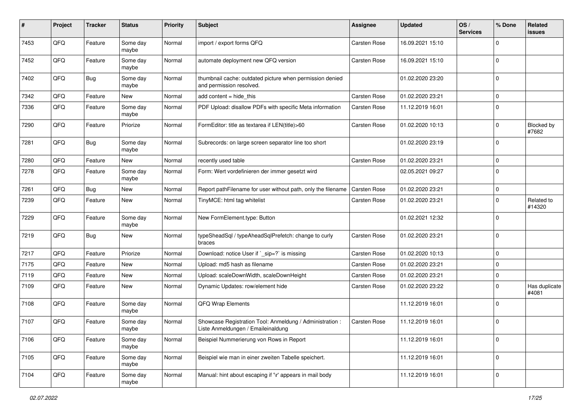| #    | Project | <b>Tracker</b> | <b>Status</b>     | <b>Priority</b> | <b>Subject</b>                                                                                 | <b>Assignee</b>     | <b>Updated</b>   | OS/<br><b>Services</b> | % Done      | Related<br>issues          |
|------|---------|----------------|-------------------|-----------------|------------------------------------------------------------------------------------------------|---------------------|------------------|------------------------|-------------|----------------------------|
| 7453 | QFQ     | Feature        | Some day<br>maybe | Normal          | import / export forms QFQ                                                                      | Carsten Rose        | 16.09.2021 15:10 |                        | $\Omega$    |                            |
| 7452 | QFQ     | Feature        | Some day<br>maybe | Normal          | automate deployment new QFQ version                                                            | <b>Carsten Rose</b> | 16.09.2021 15:10 |                        | $\Omega$    |                            |
| 7402 | QFQ     | Bug            | Some day<br>maybe | Normal          | thumbnail cache: outdated picture when permission denied<br>and permission resolved.           |                     | 01.02.2020 23:20 |                        | $\Omega$    |                            |
| 7342 | QFQ     | Feature        | New               | Normal          | add content = hide_this                                                                        | <b>Carsten Rose</b> | 01.02.2020 23:21 |                        | 0           |                            |
| 7336 | QFQ     | Feature        | Some day<br>maybe | Normal          | PDF Upload: disallow PDFs with specific Meta information                                       | Carsten Rose        | 11.12.2019 16:01 |                        | $\Omega$    |                            |
| 7290 | QFQ     | Feature        | Priorize          | Normal          | FormEditor: title as textarea if LEN(title)>60                                                 | Carsten Rose        | 01.02.2020 10:13 |                        | $\mathbf 0$ | <b>Blocked by</b><br>#7682 |
| 7281 | QFQ     | Bug            | Some day<br>maybe | Normal          | Subrecords: on large screen separator line too short                                           |                     | 01.02.2020 23:19 |                        | $\Omega$    |                            |
| 7280 | QFQ     | Feature        | New               | Normal          | recently used table                                                                            | Carsten Rose        | 01.02.2020 23:21 |                        | $\Omega$    |                            |
| 7278 | QFQ     | Feature        | Some day<br>maybe | Normal          | Form: Wert vordefinieren der immer gesetzt wird                                                |                     | 02.05.2021 09:27 |                        | $\Omega$    |                            |
| 7261 | QFQ     | Bug            | <b>New</b>        | Normal          | Report pathFilename for user without path, only the filename                                   | Carsten Rose        | 01.02.2020 23:21 |                        | $\mathbf 0$ |                            |
| 7239 | QFQ     | Feature        | New               | Normal          | TinyMCE: html tag whitelist                                                                    | <b>Carsten Rose</b> | 01.02.2020 23:21 |                        | $\Omega$    | Related to<br>#14320       |
| 7229 | QFQ     | Feature        | Some day<br>maybe | Normal          | New FormElement.type: Button                                                                   |                     | 01.02.2021 12:32 |                        | $\Omega$    |                            |
| 7219 | QFQ     | Bug            | <b>New</b>        | Normal          | typeSheadSql / typeAheadSqlPrefetch: change to curly<br>braces                                 | Carsten Rose        | 01.02.2020 23:21 |                        | $\Omega$    |                            |
| 7217 | QFQ     | Feature        | Priorize          | Normal          | Download: notice User if `_sip=?` is missing                                                   | Carsten Rose        | 01.02.2020 10:13 |                        | $\mathbf 0$ |                            |
| 7175 | QFQ     | Feature        | New               | Normal          | Upload: md5 hash as filename                                                                   | Carsten Rose        | 01.02.2020 23:21 |                        | $\Omega$    |                            |
| 7119 | QFQ     | Feature        | <b>New</b>        | Normal          | Upload: scaleDownWidth, scaleDownHeight                                                        | Carsten Rose        | 01.02.2020 23:21 |                        | 0           |                            |
| 7109 | QFQ     | Feature        | New               | Normal          | Dynamic Updates: row/element hide                                                              | Carsten Rose        | 01.02.2020 23:22 |                        | $\Omega$    | Has duplicate<br>#4081     |
| 7108 | QFQ     | Feature        | Some day<br>maybe | Normal          | QFQ Wrap Elements                                                                              |                     | 11.12.2019 16:01 |                        | $\Omega$    |                            |
| 7107 | QFQ     | Feature        | Some day<br>maybe | Normal          | Showcase Registration Tool: Anmeldung / Administration :<br>Liste Anmeldungen / Emaileinaldung | Carsten Rose        | 11.12.2019 16:01 |                        | $\Omega$    |                            |
| 7106 | QFQ     | Feature        | Some day<br>maybe | Normal          | Beispiel Nummerierung von Rows in Report                                                       |                     | 11.12.2019 16:01 |                        | $\mathbf 0$ |                            |
| 7105 | QFQ     | Feature        | Some day<br>maybe | Normal          | Beispiel wie man in einer zweiten Tabelle speichert.                                           |                     | 11.12.2019 16:01 |                        | $\mathbf 0$ |                            |
| 7104 | QFG     | Feature        | Some day<br>maybe | Normal          | Manual: hint about escaping if '\r' appears in mail body                                       |                     | 11.12.2019 16:01 |                        | $\mathbf 0$ |                            |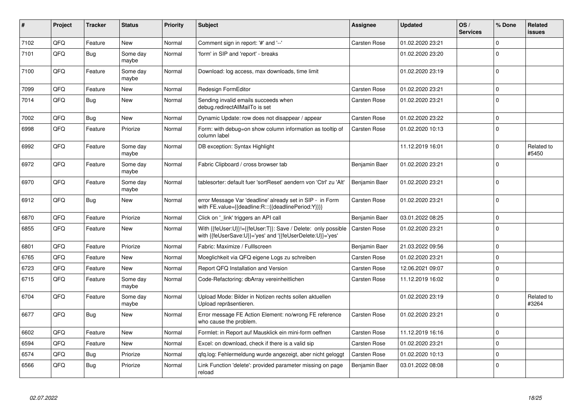| #    | Project | <b>Tracker</b> | <b>Status</b>     | <b>Priority</b> | <b>Subject</b>                                                                                                             | <b>Assignee</b>     | <b>Updated</b>   | OS/<br><b>Services</b> | % Done      | Related<br><b>issues</b> |
|------|---------|----------------|-------------------|-----------------|----------------------------------------------------------------------------------------------------------------------------|---------------------|------------------|------------------------|-------------|--------------------------|
| 7102 | QFQ     | Feature        | <b>New</b>        | Normal          | Comment sign in report: '#' and '--'                                                                                       | Carsten Rose        | 01.02.2020 23:21 |                        | $\mathbf 0$ |                          |
| 7101 | QFQ     | Bug            | Some dav<br>maybe | Normal          | 'form' in SIP and 'report' - breaks                                                                                        |                     | 01.02.2020 23:20 |                        | $\Omega$    |                          |
| 7100 | QFQ     | Feature        | Some day<br>maybe | Normal          | Download: log access, max downloads, time limit                                                                            |                     | 01.02.2020 23:19 |                        | $\Omega$    |                          |
| 7099 | QFQ     | Feature        | <b>New</b>        | Normal          | Redesign FormEditor                                                                                                        | <b>Carsten Rose</b> | 01.02.2020 23:21 |                        | $\mathbf 0$ |                          |
| 7014 | QFQ     | Bug            | <b>New</b>        | Normal          | Sending invalid emails succeeds when<br>debug.redirectAllMailTo is set                                                     | Carsten Rose        | 01.02.2020 23:21 |                        | $\mathbf 0$ |                          |
| 7002 | QFQ     | Bug            | <b>New</b>        | Normal          | Dynamic Update: row does not disappear / appear                                                                            | <b>Carsten Rose</b> | 01.02.2020 23:22 |                        | $\mathbf 0$ |                          |
| 6998 | QFQ     | Feature        | Priorize          | Normal          | Form: with debug=on show column information as tooltip of<br>column label                                                  | Carsten Rose        | 01.02.2020 10:13 |                        | $\mathbf 0$ |                          |
| 6992 | QFQ     | Feature        | Some day<br>maybe | Normal          | DB exception: Syntax Highlight                                                                                             |                     | 11.12.2019 16:01 |                        | $\mathbf 0$ | Related to<br>#5450      |
| 6972 | QFQ     | Feature        | Some dav<br>maybe | Normal          | Fabric Clipboard / cross browser tab                                                                                       | Benjamin Baer       | 01.02.2020 23:21 |                        | $\mathbf 0$ |                          |
| 6970 | QFQ     | Feature        | Some day<br>maybe | Normal          | tablesorter: default fuer 'sortReset' aendern von 'Ctrl' zu 'Alt'                                                          | Benjamin Baer       | 01.02.2020 23:21 |                        | $\mathbf 0$ |                          |
| 6912 | QFQ     | <b>Bug</b>     | <b>New</b>        | Normal          | error Message Var 'deadline' already set in SIP - in Form<br>with FE.value={{deadline:R:::{{deadlinePeriod:Y}}}}           | <b>Carsten Rose</b> | 01.02.2020 23:21 |                        | $\Omega$    |                          |
| 6870 | QFQ     | Feature        | Priorize          | Normal          | Click on '_link' triggers an API call                                                                                      | Benjamin Baer       | 03.01.2022 08:25 |                        | $\mathbf 0$ |                          |
| 6855 | QFQ     | Feature        | New               | Normal          | With {{feUser:U}}!={{feUser:T}}: Save / Delete: only possible<br>with {{feUserSave:U}}='yes' and '{{feUserDelete:U}}='yes' | <b>Carsten Rose</b> | 01.02.2020 23:21 |                        | $\Omega$    |                          |
| 6801 | QFQ     | Feature        | Priorize          | Normal          | Fabric: Maximize / FullIscreen                                                                                             | Benjamin Baer       | 21.03.2022 09:56 |                        | $\mathbf 0$ |                          |
| 6765 | QFQ     | Feature        | <b>New</b>        | Normal          | Moeglichkeit via QFQ eigene Logs zu schreiben                                                                              | Carsten Rose        | 01.02.2020 23:21 |                        | $\Omega$    |                          |
| 6723 | QFQ     | Feature        | New               | Normal          | Report QFQ Installation and Version                                                                                        | <b>Carsten Rose</b> | 12.06.2021 09:07 |                        | $\mathbf 0$ |                          |
| 6715 | QFQ     | Feature        | Some day<br>maybe | Normal          | Code-Refactoring: dbArray vereinheitlichen                                                                                 | Carsten Rose        | 11.12.2019 16:02 |                        | $\Omega$    |                          |
| 6704 | QFQ     | Feature        | Some day<br>maybe | Normal          | Upload Mode: Bilder in Notizen rechts sollen aktuellen<br>Upload repräsentieren.                                           |                     | 01.02.2020 23:19 |                        | $\mathbf 0$ | Related to<br>#3264      |
| 6677 | QFQ     | <b>Bug</b>     | <b>New</b>        | Normal          | Error message FE Action Element: no/wrong FE reference<br>who cause the problem.                                           | <b>Carsten Rose</b> | 01.02.2020 23:21 |                        | $\Omega$    |                          |
| 6602 | QFQ     | Feature        | New               | Normal          | Formlet: in Report auf Mausklick ein mini-form oeffnen                                                                     | Carsten Rose        | 11.12.2019 16:16 |                        | $\Omega$    |                          |
| 6594 | QFQ     | Feature        | <b>New</b>        | Normal          | Excel: on download, check if there is a valid sip                                                                          | <b>Carsten Rose</b> | 01.02.2020 23:21 |                        | $\mathbf 0$ |                          |
| 6574 | QFQ     | <b>Bug</b>     | Priorize          | Normal          | qfq.log: Fehlermeldung wurde angezeigt, aber nicht geloggt                                                                 | Carsten Rose        | 01.02.2020 10:13 |                        | $\mathbf 0$ |                          |
| 6566 | QFQ     | Bug            | Priorize          | Normal          | Link Function 'delete': provided parameter missing on page<br>reload                                                       | Benjamin Baer       | 03.01.2022 08:08 |                        | $\Omega$    |                          |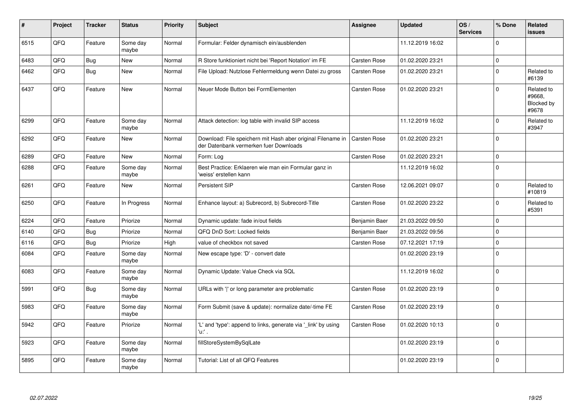| #    | Project | <b>Tracker</b> | <b>Status</b>     | <b>Priority</b> | <b>Subject</b>                                                                                        | Assignee            | <b>Updated</b>   | OS/<br><b>Services</b> | % Done   | Related<br>issues                           |
|------|---------|----------------|-------------------|-----------------|-------------------------------------------------------------------------------------------------------|---------------------|------------------|------------------------|----------|---------------------------------------------|
| 6515 | QFQ     | Feature        | Some day<br>maybe | Normal          | Formular: Felder dynamisch ein/ausblenden                                                             |                     | 11.12.2019 16:02 |                        | $\Omega$ |                                             |
| 6483 | QFQ     | Bug            | New               | Normal          | R Store funktioniert nicht bei 'Report Notation' im FE                                                | <b>Carsten Rose</b> | 01.02.2020 23:21 |                        | $\Omega$ |                                             |
| 6462 | QFQ     | Bug            | <b>New</b>        | Normal          | File Upload: Nutzlose Fehlermeldung wenn Datei zu gross                                               | <b>Carsten Rose</b> | 01.02.2020 23:21 |                        | 0        | Related to<br>#6139                         |
| 6437 | QFQ     | Feature        | <b>New</b>        | Normal          | Neuer Mode Button bei FormElementen                                                                   | <b>Carsten Rose</b> | 01.02.2020 23:21 |                        | $\Omega$ | Related to<br>#9668,<br>Blocked by<br>#9678 |
| 6299 | QFQ     | Feature        | Some day<br>maybe | Normal          | Attack detection: log table with invalid SIP access                                                   |                     | 11.12.2019 16:02 |                        | 0        | Related to<br>#3947                         |
| 6292 | QFQ     | Feature        | <b>New</b>        | Normal          | Download: File speichern mit Hash aber original Filename in<br>der Datenbank vermerken fuer Downloads | Carsten Rose        | 01.02.2020 23:21 |                        | $\Omega$ |                                             |
| 6289 | QFQ     | Feature        | <b>New</b>        | Normal          | Form: Log                                                                                             | Carsten Rose        | 01.02.2020 23:21 |                        | 0        |                                             |
| 6288 | QFQ     | Feature        | Some day<br>maybe | Normal          | Best Practice: Erklaeren wie man ein Formular ganz in<br>'weiss' erstellen kann                       |                     | 11.12.2019 16:02 |                        | 0        |                                             |
| 6261 | QFQ     | Feature        | <b>New</b>        | Normal          | <b>Persistent SIP</b>                                                                                 | Carsten Rose        | 12.06.2021 09:07 |                        | 0        | Related to<br>#10819                        |
| 6250 | QFQ     | Feature        | In Progress       | Normal          | Enhance layout: a) Subrecord, b) Subrecord-Title                                                      | <b>Carsten Rose</b> | 01.02.2020 23:22 |                        | $\Omega$ | Related to<br>#5391                         |
| 6224 | QFQ     | Feature        | Priorize          | Normal          | Dynamic update: fade in/out fields                                                                    | Benjamin Baer       | 21.03.2022 09:50 |                        | 0        |                                             |
| 6140 | QFQ     | Bug            | Priorize          | Normal          | QFQ DnD Sort: Locked fields                                                                           | Benjamin Baer       | 21.03.2022 09:56 |                        | $\Omega$ |                                             |
| 6116 | QFQ     | Bug            | Priorize          | High            | value of checkbox not saved                                                                           | Carsten Rose        | 07.12.2021 17:19 |                        | 0        |                                             |
| 6084 | QFQ     | Feature        | Some day<br>maybe | Normal          | New escape type: 'D' - convert date                                                                   |                     | 01.02.2020 23:19 |                        | $\Omega$ |                                             |
| 6083 | QFQ     | Feature        | Some day<br>maybe | Normal          | Dynamic Update: Value Check via SQL                                                                   |                     | 11.12.2019 16:02 |                        | $\Omega$ |                                             |
| 5991 | QFQ     | <b>Bug</b>     | Some day<br>maybe | Normal          | URLs with ' ' or long parameter are problematic                                                       | Carsten Rose        | 01.02.2020 23:19 |                        | $\Omega$ |                                             |
| 5983 | QFQ     | Feature        | Some day<br>maybe | Normal          | Form Submit (save & update): normalize date/-time FE                                                  | <b>Carsten Rose</b> | 01.02.2020 23:19 |                        | $\Omega$ |                                             |
| 5942 | QFQ     | Feature        | Priorize          | Normal          | 'L' and 'type': append to links, generate via '_link' by using<br>'u:' .                              | Carsten Rose        | 01.02.2020 10:13 |                        | $\Omega$ |                                             |
| 5923 | QFQ     | Feature        | Some day<br>maybe | Normal          | fillStoreSystemBySqlLate                                                                              |                     | 01.02.2020 23:19 |                        | $\Omega$ |                                             |
| 5895 | QFQ     | Feature        | Some day<br>maybe | Normal          | Tutorial: List of all QFQ Features                                                                    |                     | 01.02.2020 23:19 |                        | 0        |                                             |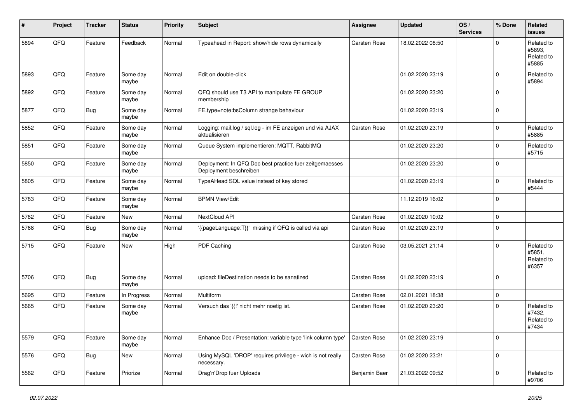| ∦    | Project | <b>Tracker</b> | <b>Status</b>     | <b>Priority</b> | <b>Subject</b>                                                                    | <b>Assignee</b> | <b>Updated</b>   | OS/<br><b>Services</b> | % Done      | Related<br>issues                           |
|------|---------|----------------|-------------------|-----------------|-----------------------------------------------------------------------------------|-----------------|------------------|------------------------|-------------|---------------------------------------------|
| 5894 | QFQ     | Feature        | Feedback          | Normal          | Typeahead in Report: show/hide rows dynamically                                   | Carsten Rose    | 18.02.2022 08:50 |                        | $\Omega$    | Related to<br>#5893.<br>Related to<br>#5885 |
| 5893 | QFQ     | Feature        | Some day<br>maybe | Normal          | Edit on double-click                                                              |                 | 01.02.2020 23:19 |                        | 0           | Related to<br>#5894                         |
| 5892 | QFQ     | Feature        | Some day<br>maybe | Normal          | QFQ should use T3 API to manipulate FE GROUP<br>membership                        |                 | 01.02.2020 23:20 |                        | 0           |                                             |
| 5877 | QFQ     | Bug            | Some day<br>maybe | Normal          | FE.type=note:bsColumn strange behaviour                                           |                 | 01.02.2020 23:19 |                        | 0           |                                             |
| 5852 | QFQ     | Feature        | Some day<br>maybe | Normal          | Logging: mail.log / sql.log - im FE anzeigen und via AJAX<br>aktualisieren        | Carsten Rose    | 01.02.2020 23:19 |                        | $\mathbf 0$ | Related to<br>#5885                         |
| 5851 | QFQ     | Feature        | Some day<br>maybe | Normal          | Queue System implementieren: MQTT, RabbitMQ                                       |                 | 01.02.2020 23:20 |                        | 0           | Related to<br>#5715                         |
| 5850 | QFQ     | Feature        | Some day<br>maybe | Normal          | Deployment: In QFQ Doc best practice fuer zeitgemaesses<br>Deployment beschreiben |                 | 01.02.2020 23:20 |                        | 0           |                                             |
| 5805 | QFQ     | Feature        | Some day<br>maybe | Normal          | TypeAHead SQL value instead of key stored                                         |                 | 01.02.2020 23:19 |                        | 0           | Related to<br>#5444                         |
| 5783 | QFQ     | Feature        | Some day<br>maybe | Normal          | <b>BPMN View/Edit</b>                                                             |                 | 11.12.2019 16:02 |                        | $\Omega$    |                                             |
| 5782 | QFQ     | Feature        | New               | Normal          | NextCloud API                                                                     | Carsten Rose    | 01.02.2020 10:02 |                        | 0           |                                             |
| 5768 | QFQ     | Bug            | Some day<br>maybe | Normal          | '{{pageLanguage:T}}' missing if QFQ is called via api                             | Carsten Rose    | 01.02.2020 23:19 |                        | 0           |                                             |
| 5715 | QFQ     | Feature        | New               | High            | PDF Caching                                                                       | Carsten Rose    | 03.05.2021 21:14 |                        | $\mathbf 0$ | Related to<br>#5851,<br>Related to<br>#6357 |
| 5706 | QFQ     | Bug            | Some day<br>maybe | Normal          | upload: fileDestination needs to be sanatized                                     | Carsten Rose    | 01.02.2020 23:19 |                        | 0           |                                             |
| 5695 | QFQ     | Feature        | In Progress       | Normal          | Multiform                                                                         | Carsten Rose    | 02.01.2021 18:38 |                        | 0           |                                             |
| 5665 | QFQ     | Feature        | Some day<br>maybe | Normal          | Versuch das '{{!' nicht mehr noetig ist.                                          | Carsten Rose    | 01.02.2020 23:20 |                        | $\Omega$    | Related to<br>#7432,<br>Related to<br>#7434 |
| 5579 | QFG     | Feature        | Some day<br>maybe | Normal          | Enhance Doc / Presentation: variable type 'link column type'                      | Carsten Rose    | 01.02.2020 23:19 |                        | $\pmb{0}$   |                                             |
| 5576 | QFO     | <b>Bug</b>     | New               | Normal          | Using MySQL 'DROP' requires privilege - wich is not really<br>necessary.          | Carsten Rose    | 01.02.2020 23:21 |                        | $\pmb{0}$   |                                             |
| 5562 | QFQ     | Feature        | Priorize          | Normal          | Drag'n'Drop fuer Uploads                                                          | Benjamin Baer   | 21.03.2022 09:52 |                        | 0           | Related to<br>#9706                         |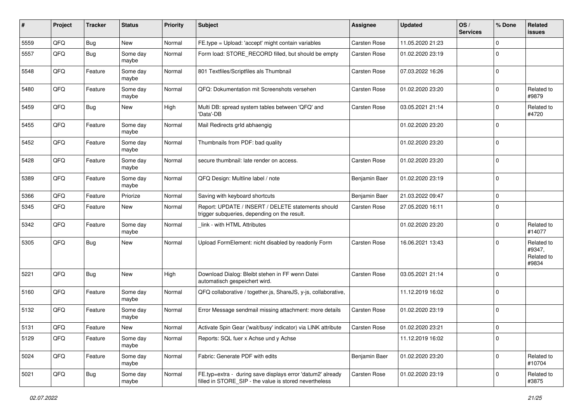| ∦    | Project | <b>Tracker</b> | <b>Status</b>     | <b>Priority</b> | <b>Subject</b>                                                                                                       | <b>Assignee</b>     | <b>Updated</b>   | OS/<br><b>Services</b> | % Done      | Related<br>issues                           |
|------|---------|----------------|-------------------|-----------------|----------------------------------------------------------------------------------------------------------------------|---------------------|------------------|------------------------|-------------|---------------------------------------------|
| 5559 | QFQ     | Bug            | New               | Normal          | FE.type = Upload: 'accept' might contain variables                                                                   | Carsten Rose        | 11.05.2020 21:23 |                        | $\Omega$    |                                             |
| 5557 | QFQ     | <b>Bug</b>     | Some day<br>maybe | Normal          | Form load: STORE_RECORD filled, but should be empty                                                                  | <b>Carsten Rose</b> | 01.02.2020 23:19 |                        | $\Omega$    |                                             |
| 5548 | QFQ     | Feature        | Some day<br>maybe | Normal          | 801 Textfiles/Scriptfiles als Thumbnail                                                                              | Carsten Rose        | 07.03.2022 16:26 |                        | $\Omega$    |                                             |
| 5480 | QFQ     | Feature        | Some day<br>maybe | Normal          | QFQ: Dokumentation mit Screenshots versehen                                                                          | Carsten Rose        | 01.02.2020 23:20 |                        | $\Omega$    | Related to<br>#9879                         |
| 5459 | QFQ     | <b>Bug</b>     | New               | High            | Multi DB: spread system tables between 'QFQ' and<br>'Data'-DB                                                        | Carsten Rose        | 03.05.2021 21:14 |                        | $\Omega$    | Related to<br>#4720                         |
| 5455 | QFQ     | Feature        | Some day<br>maybe | Normal          | Mail Redirects grld abhaengig                                                                                        |                     | 01.02.2020 23:20 |                        | $\mathbf 0$ |                                             |
| 5452 | QFQ     | Feature        | Some day<br>maybe | Normal          | Thumbnails from PDF: bad quality                                                                                     |                     | 01.02.2020 23:20 |                        | $\Omega$    |                                             |
| 5428 | QFQ     | Feature        | Some day<br>maybe | Normal          | secure thumbnail: late render on access.                                                                             | Carsten Rose        | 01.02.2020 23:20 |                        | $\Omega$    |                                             |
| 5389 | QFQ     | Feature        | Some day<br>maybe | Normal          | QFQ Design: Multline label / note                                                                                    | Benjamin Baer       | 01.02.2020 23:19 |                        | $\Omega$    |                                             |
| 5366 | QFQ     | Feature        | Priorize          | Normal          | Saving with keyboard shortcuts                                                                                       | Benjamin Baer       | 21.03.2022 09:47 |                        | $\pmb{0}$   |                                             |
| 5345 | QFQ     | Feature        | New               | Normal          | Report: UPDATE / INSERT / DELETE statements should<br>trigger subqueries, depending on the result.                   | Carsten Rose        | 27.05.2020 16:11 |                        | $\Omega$    |                                             |
| 5342 | QFQ     | Feature        | Some day<br>maybe | Normal          | link - with HTML Attributes                                                                                          |                     | 01.02.2020 23:20 |                        | $\mathbf 0$ | Related to<br>#14077                        |
| 5305 | QFQ     | <b>Bug</b>     | New               | Normal          | Upload FormElement: nicht disabled by readonly Form                                                                  | Carsten Rose        | 16.06.2021 13:43 |                        | $\Omega$    | Related to<br>#9347,<br>Related to<br>#9834 |
| 5221 | QFQ     | <b>Bug</b>     | New               | High            | Download Dialog: Bleibt stehen in FF wenn Datei<br>automatisch gespeichert wird.                                     | Carsten Rose        | 03.05.2021 21:14 |                        | $\Omega$    |                                             |
| 5160 | QFQ     | Feature        | Some day<br>maybe | Normal          | QFQ collaborative / together.js, ShareJS, y-js, collaborative,                                                       |                     | 11.12.2019 16:02 |                        | $\Omega$    |                                             |
| 5132 | QFQ     | Feature        | Some day<br>maybe | Normal          | Error Message sendmail missing attachment: more details                                                              | Carsten Rose        | 01.02.2020 23:19 |                        | $\mathbf 0$ |                                             |
| 5131 | QFQ     | Feature        | <b>New</b>        | Normal          | Activate Spin Gear ('wait/busy' indicator) via LINK attribute                                                        | <b>Carsten Rose</b> | 01.02.2020 23:21 |                        | $\mathbf 0$ |                                             |
| 5129 | QFQ     | Feature        | Some day<br>maybe | Normal          | Reports: SQL fuer x Achse und y Achse                                                                                |                     | 11.12.2019 16:02 |                        | $\mathbf 0$ |                                             |
| 5024 | QFO     | Feature        | Some day<br>maybe | Normal          | Fabric: Generate PDF with edits                                                                                      | Benjamin Baer       | 01.02.2020 23:20 |                        | $\mathbf 0$ | Related to<br>#10704                        |
| 5021 | QFQ     | <b>Bug</b>     | Some day<br>maybe | Normal          | FE.typ=extra - during save displays error 'datum2' already<br>filled in STORE SIP - the value is stored nevertheless | Carsten Rose        | 01.02.2020 23:19 |                        | 0           | Related to<br>#3875                         |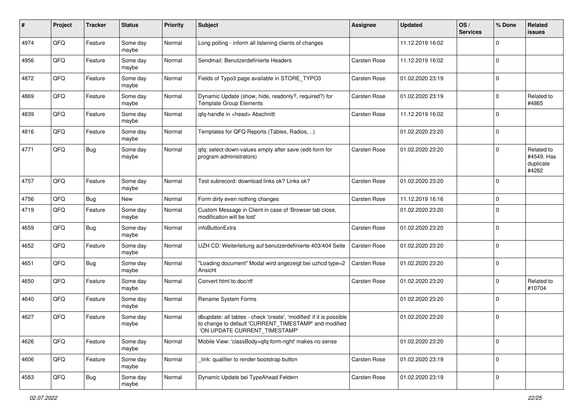| #    | Project | <b>Tracker</b> | <b>Status</b>     | <b>Priority</b> | Subject                                                                                                                                                       | Assignee            | <b>Updated</b>   | OS/<br><b>Services</b> | % Done      | Related<br><b>issues</b>                       |
|------|---------|----------------|-------------------|-----------------|---------------------------------------------------------------------------------------------------------------------------------------------------------------|---------------------|------------------|------------------------|-------------|------------------------------------------------|
| 4974 | QFQ     | Feature        | Some day<br>maybe | Normal          | Long polling - inform all listening clients of changes                                                                                                        |                     | 11.12.2019 16:02 |                        | $\mathbf 0$ |                                                |
| 4956 | QFQ     | Feature        | Some day<br>maybe | Normal          | Sendmail: Benutzerdefinierte Headers                                                                                                                          | Carsten Rose        | 11.12.2019 16:02 |                        | $\mathbf 0$ |                                                |
| 4872 | QFQ     | Feature        | Some day<br>maybe | Normal          | Fields of Typo3 page available in STORE_TYPO3                                                                                                                 | Carsten Rose        | 01.02.2020 23:19 |                        | $\mathbf 0$ |                                                |
| 4869 | QFQ     | Feature        | Some day<br>maybe | Normal          | Dynamic Update (show, hide, readonly?, required?) for<br><b>Template Group Elements</b>                                                                       | <b>Carsten Rose</b> | 01.02.2020 23:19 |                        | 0           | Related to<br>#4865                            |
| 4839 | QFQ     | Feature        | Some day<br>maybe | Normal          | qfq-handle in <head> Abschnitt</head>                                                                                                                         | Carsten Rose        | 11.12.2019 16:02 |                        | $\mathbf 0$ |                                                |
| 4816 | QFQ     | Feature        | Some day<br>maybe | Normal          | Templates for QFQ Reports (Tables, Radios, )                                                                                                                  |                     | 01.02.2020 23:20 |                        | $\mathbf 0$ |                                                |
| 4771 | QFQ     | <b>Bug</b>     | Some day<br>maybe | Normal          | gfg: select-down-values empty after save (edit-form for<br>program administrators)                                                                            | Carsten Rose        | 01.02.2020 23:20 |                        | $\mathbf 0$ | Related to<br>#4549, Has<br>duplicate<br>#4282 |
| 4757 | QFQ     | Feature        | Some day<br>maybe | Normal          | Test subrecord: download links ok? Links ok?                                                                                                                  | <b>Carsten Rose</b> | 01.02.2020 23:20 |                        | $\mathbf 0$ |                                                |
| 4756 | QFQ     | <b>Bug</b>     | <b>New</b>        | Normal          | Form dirty even nothing changes                                                                                                                               | Carsten Rose        | 11.12.2019 16:16 |                        | $\mathbf 0$ |                                                |
| 4719 | QFQ     | Feature        | Some day<br>maybe | Normal          | Custom Message in Client in case of 'Browser tab close,<br>modification will be lost'                                                                         |                     | 01.02.2020 23:20 |                        | $\Omega$    |                                                |
| 4659 | QFQ     | Bug            | Some day<br>maybe | Normal          | infoButtonExtra                                                                                                                                               | Carsten Rose        | 01.02.2020 23:20 |                        | $\mathbf 0$ |                                                |
| 4652 | QFQ     | Feature        | Some day<br>maybe | Normal          | UZH CD: Weiterleitung auf benutzerdefinierte 403/404 Seite                                                                                                    | Carsten Rose        | 01.02.2020 23:20 |                        | $\mathbf 0$ |                                                |
| 4651 | QFQ     | <b>Bug</b>     | Some day<br>maybe | Normal          | "Loading document" Modal wird angezeigt bei uzhcd type=2<br>Ansicht                                                                                           | <b>Carsten Rose</b> | 01.02.2020 23:20 |                        | $\mathbf 0$ |                                                |
| 4650 | QFQ     | Feature        | Some day<br>maybe | Normal          | Convert html to doc/rtf                                                                                                                                       | Carsten Rose        | 01.02.2020 23:20 |                        | $\mathbf 0$ | Related to<br>#10704                           |
| 4640 | QFQ     | Feature        | Some day<br>maybe | Normal          | Rename System Forms                                                                                                                                           |                     | 01.02.2020 23:20 |                        | $\mathbf 0$ |                                                |
| 4627 | QFQ     | Feature        | Some day<br>maybe | Normal          | dbupdate: all tables - check 'create', 'modified' if it is possible<br>to change to default 'CURRENT_TIMESTAMP' and modified<br>'ON UPDATE CURRENT_TIMESTAMP' |                     | 01.02.2020 23:20 |                        | $\mathbf 0$ |                                                |
| 4626 | QFQ     | Feature        | Some day<br>maybe | Normal          | Mobile View: 'classBody=qfq-form-right' makes no sense                                                                                                        |                     | 01.02.2020 23:20 |                        | $\mathbf 0$ |                                                |
| 4606 | QFQ     | Feature        | Some day<br>maybe | Normal          | link: qualifier to render bootstrap button                                                                                                                    | Carsten Rose        | 01.02.2020 23:19 |                        | $\mathbf 0$ |                                                |
| 4583 | QFQ     | Bug            | Some day<br>maybe | Normal          | Dynamic Update bei TypeAhead Feldern                                                                                                                          | Carsten Rose        | 01.02.2020 23:19 |                        | $\pmb{0}$   |                                                |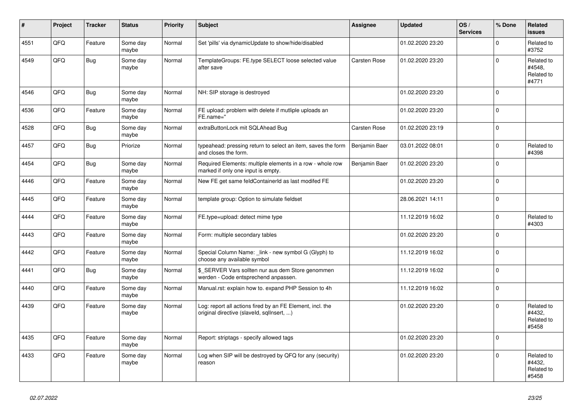| #    | Project | <b>Tracker</b> | <b>Status</b>     | <b>Priority</b> | <b>Subject</b>                                                                                         | Assignee            | <b>Updated</b>   | OS/<br><b>Services</b> | % Done      | Related<br><b>issues</b>                    |
|------|---------|----------------|-------------------|-----------------|--------------------------------------------------------------------------------------------------------|---------------------|------------------|------------------------|-------------|---------------------------------------------|
| 4551 | QFQ     | Feature        | Some day<br>maybe | Normal          | Set 'pills' via dynamicUpdate to show/hide/disabled                                                    |                     | 01.02.2020 23:20 |                        | $\Omega$    | Related to<br>#3752                         |
| 4549 | QFQ     | <b>Bug</b>     | Some day<br>maybe | Normal          | TemplateGroups: FE.type SELECT loose selected value<br>after save                                      | <b>Carsten Rose</b> | 01.02.2020 23:20 |                        | $\mathbf 0$ | Related to<br>#4548,<br>Related to<br>#4771 |
| 4546 | QFQ     | <b>Bug</b>     | Some day<br>maybe | Normal          | NH: SIP storage is destroyed                                                                           |                     | 01.02.2020 23:20 |                        | $\Omega$    |                                             |
| 4536 | QFQ     | Feature        | Some day<br>maybe | Normal          | FE upload: problem with delete if mutliple uploads an<br>FE.name="                                     |                     | 01.02.2020 23:20 |                        | $\Omega$    |                                             |
| 4528 | QFQ     | Bug            | Some day<br>maybe | Normal          | extraButtonLock mit SQLAhead Bug                                                                       | <b>Carsten Rose</b> | 01.02.2020 23:19 |                        | $\mathbf 0$ |                                             |
| 4457 | QFQ     | Bug            | Priorize          | Normal          | typeahead: pressing return to select an item, saves the form<br>and closes the form.                   | Benjamin Baer       | 03.01.2022 08:01 |                        | $\Omega$    | Related to<br>#4398                         |
| 4454 | QFQ     | Bug            | Some day<br>maybe | Normal          | Required Elements: multiple elements in a row - whole row<br>marked if only one input is empty.        | Benjamin Baer       | 01.02.2020 23:20 |                        | $\mathbf 0$ |                                             |
| 4446 | QFQ     | Feature        | Some day<br>maybe | Normal          | New FE get same feldContainerId as last modifed FE                                                     |                     | 01.02.2020 23:20 |                        | $\pmb{0}$   |                                             |
| 4445 | QFQ     | Feature        | Some day<br>maybe | Normal          | template group: Option to simulate fieldset                                                            |                     | 28.06.2021 14:11 |                        | $\Omega$    |                                             |
| 4444 | QFQ     | Feature        | Some day<br>maybe | Normal          | FE.type=upload: detect mime type                                                                       |                     | 11.12.2019 16:02 |                        | $\mathbf 0$ | Related to<br>#4303                         |
| 4443 | QFQ     | Feature        | Some day<br>maybe | Normal          | Form: multiple secondary tables                                                                        |                     | 01.02.2020 23:20 |                        | $\mathbf 0$ |                                             |
| 4442 | QFQ     | Feature        | Some day<br>maybe | Normal          | Special Column Name: link - new symbol G (Glyph) to<br>choose any available symbol                     |                     | 11.12.2019 16:02 |                        | $\mathbf 0$ |                                             |
| 4441 | QFQ     | <b>Bug</b>     | Some day<br>maybe | Normal          | \$_SERVER Vars sollten nur aus dem Store genommen<br>werden - Code entsprechend anpassen.              |                     | 11.12.2019 16:02 |                        | $\mathbf 0$ |                                             |
| 4440 | QFQ     | Feature        | Some day<br>maybe | Normal          | Manual.rst: explain how to. expand PHP Session to 4h                                                   |                     | 11.12.2019 16:02 |                        | $\mathbf 0$ |                                             |
| 4439 | QFQ     | Feature        | Some day<br>maybe | Normal          | Log: report all actions fired by an FE Element, incl. the<br>original directive (slaveld, sqllnsert, ) |                     | 01.02.2020 23:20 |                        | $\Omega$    | Related to<br>#4432,<br>Related to<br>#5458 |
| 4435 | QFQ     | Feature        | Some day<br>maybe | Normal          | Report: striptags - specify allowed tags                                                               |                     | 01.02.2020 23:20 |                        | $\mathbf 0$ |                                             |
| 4433 | QFQ     | Feature        | Some day<br>maybe | Normal          | Log when SIP will be destroyed by QFQ for any (security)<br>reason                                     |                     | 01.02.2020 23:20 |                        | $\mathbf 0$ | Related to<br>#4432,<br>Related to<br>#5458 |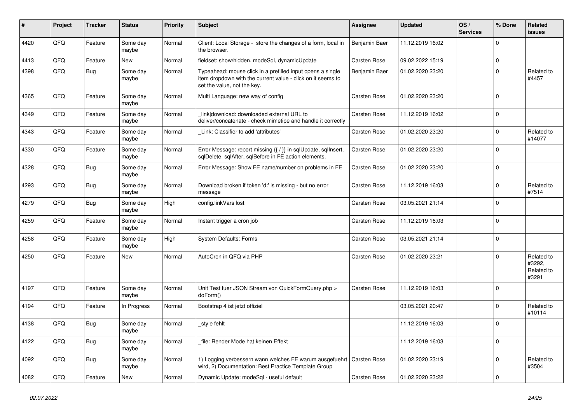| ∦    | Project | <b>Tracker</b> | <b>Status</b>     | <b>Priority</b> | <b>Subject</b>                                                                                                                                           | Assignee            | <b>Updated</b>   | OS/<br><b>Services</b> | % Done   | Related<br>issues                           |
|------|---------|----------------|-------------------|-----------------|----------------------------------------------------------------------------------------------------------------------------------------------------------|---------------------|------------------|------------------------|----------|---------------------------------------------|
| 4420 | QFQ     | Feature        | Some day<br>maybe | Normal          | Client: Local Storage - store the changes of a form, local in<br>the browser.                                                                            | Benjamin Baer       | 11.12.2019 16:02 |                        | $\Omega$ |                                             |
| 4413 | QFQ     | Feature        | <b>New</b>        | Normal          | fieldset: show/hidden, modeSql, dynamicUpdate                                                                                                            | Carsten Rose        | 09.02.2022 15:19 |                        | 0        |                                             |
| 4398 | QFQ     | <b>Bug</b>     | Some day<br>maybe | Normal          | Typeahead: mouse click in a prefilled input opens a single<br>item dropdown with the current value - click on it seems to<br>set the value, not the key. | Benjamin Baer       | 01.02.2020 23:20 |                        | $\Omega$ | Related to<br>#4457                         |
| 4365 | QFQ     | Feature        | Some day<br>maybe | Normal          | Multi Language: new way of config                                                                                                                        | <b>Carsten Rose</b> | 01.02.2020 23:20 |                        | $\Omega$ |                                             |
| 4349 | QFQ     | Feature        | Some day<br>maybe | Normal          | link download: downloaded external URL to<br>deliver/concatenate - check mimetipe and handle it correctly                                                | Carsten Rose        | 11.12.2019 16:02 |                        | $\Omega$ |                                             |
| 4343 | QFQ     | Feature        | Some day<br>maybe | Normal          | Link: Classifier to add 'attributes'                                                                                                                     | Carsten Rose        | 01.02.2020 23:20 |                        | $\Omega$ | Related to<br>#14077                        |
| 4330 | QFQ     | Feature        | Some day<br>maybe | Normal          | Error Message: report missing {{ / }} in sqlUpdate, sqlInsert,<br>sqlDelete, sqlAfter, sqlBefore in FE action elements.                                  | Carsten Rose        | 01.02.2020 23:20 |                        | $\Omega$ |                                             |
| 4328 | QFQ     | <b>Bug</b>     | Some day<br>maybe | Normal          | Error Message: Show FE name/number on problems in FE                                                                                                     | Carsten Rose        | 01.02.2020 23:20 |                        | 0        |                                             |
| 4293 | QFQ     | Bug            | Some day<br>maybe | Normal          | Download broken if token 'd:' is missing - but no error<br>message                                                                                       | Carsten Rose        | 11.12.2019 16:03 |                        | 0        | Related to<br>#7514                         |
| 4279 | QFQ     | Bug            | Some day<br>maybe | High            | config.linkVars lost                                                                                                                                     | Carsten Rose        | 03.05.2021 21:14 |                        | $\Omega$ |                                             |
| 4259 | QFQ     | Feature        | Some day<br>maybe | Normal          | Instant trigger a cron job                                                                                                                               | Carsten Rose        | 11.12.2019 16:03 |                        | 0        |                                             |
| 4258 | QFQ     | Feature        | Some day<br>maybe | High            | <b>System Defaults: Forms</b>                                                                                                                            | Carsten Rose        | 03.05.2021 21:14 |                        | $\Omega$ |                                             |
| 4250 | QFQ     | Feature        | <b>New</b>        | Normal          | AutoCron in QFQ via PHP                                                                                                                                  | Carsten Rose        | 01.02.2020 23:21 |                        | $\Omega$ | Related to<br>#3292,<br>Related to<br>#3291 |
| 4197 | QFQ     | Feature        | Some day<br>maybe | Normal          | Unit Test fuer JSON Stream von QuickFormQuery.php ><br>doForm()                                                                                          | Carsten Rose        | 11.12.2019 16:03 |                        | $\Omega$ |                                             |
| 4194 | QFQ     | Feature        | In Progress       | Normal          | Bootstrap 4 ist jetzt offiziel                                                                                                                           |                     | 03.05.2021 20:47 |                        | $\Omega$ | Related to<br>#10114                        |
| 4138 | QFQ     | <b>Bug</b>     | Some day<br>maybe | Normal          | style fehlt                                                                                                                                              |                     | 11.12.2019 16:03 |                        | $\Omega$ |                                             |
| 4122 | QFQ     | Bug            | Some day<br>maybe | Normal          | file: Render Mode hat keinen Effekt                                                                                                                      |                     | 11.12.2019 16:03 |                        | $\Omega$ |                                             |
| 4092 | QFQ     | <b>Bug</b>     | Some day<br>maybe | Normal          | 1) Logging verbessern wann welches FE warum ausgefuehrt   Carsten Rose<br>wird, 2) Documentation: Best Practice Template Group                           |                     | 01.02.2020 23:19 |                        | 0        | Related to<br>#3504                         |
| 4082 | QFQ     | Feature        | New               | Normal          | Dynamic Update: modeSql - useful default                                                                                                                 | Carsten Rose        | 01.02.2020 23:22 |                        | $\Omega$ |                                             |